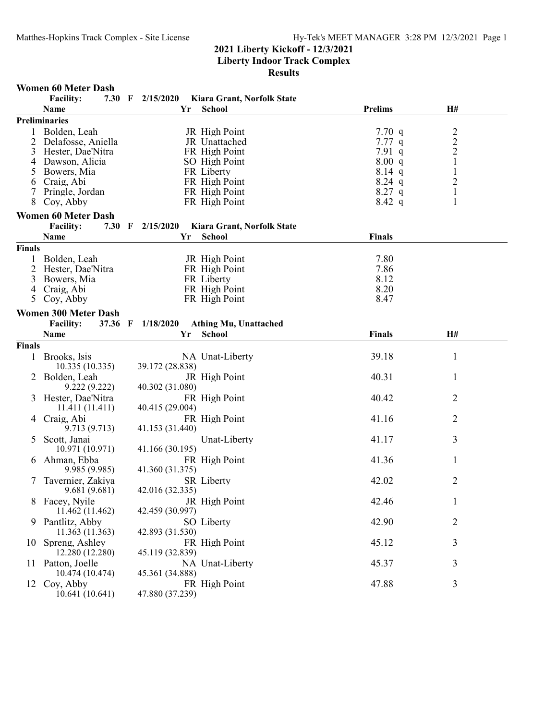**Results**

#### **Women 60 Meter Dash**

|               | <b>Facility:</b>            | 7.30 F $2/15/2020$ |    | Kiara Grant, Norfolk State |                |                                                 |  |
|---------------|-----------------------------|--------------------|----|----------------------------|----------------|-------------------------------------------------|--|
|               | Name                        |                    | Yr | School                     | <b>Prelims</b> | H#                                              |  |
|               | <b>Preliminaries</b>        |                    |    |                            |                |                                                 |  |
|               | Bolden, Leah                |                    |    | JR High Point              | 7.70 $q$       |                                                 |  |
| 2             | Delafosse, Aniella          |                    |    | JR Unattached              | 7.77q          | $\begin{array}{c} 2 \\ 2 \\ 2 \\ 1 \end{array}$ |  |
| 3             | Hester, Dae'Nitra           |                    |    | FR High Point              | 7.91q          |                                                 |  |
| 4             | Dawson, Alicia              |                    |    | SO High Point              | 8.00 q         |                                                 |  |
|               | Bowers, Mia                 |                    |    | FR Liberty                 | $8.14$ q       | $\mathbf{1}$                                    |  |
| 6             | Craig, Abi                  |                    |    | FR High Point              | $8.24$ q       | $\overline{2}$                                  |  |
| 7             | Pringle, Jordan             |                    |    | FR High Point              | $8.27$ q       | $\mathbf{1}$                                    |  |
| 8             | Coy, Abby                   |                    |    | FR High Point              | $8.42\ q$      | 1                                               |  |
|               |                             |                    |    |                            |                |                                                 |  |
|               | <b>Women 60 Meter Dash</b>  |                    |    |                            |                |                                                 |  |
|               | <b>Facility:</b>            | 7.30 F 2/15/2020   |    | Kiara Grant, Norfolk State |                |                                                 |  |
|               | <b>Name</b>                 |                    | Yr | <b>School</b>              | <b>Finals</b>  |                                                 |  |
| <b>Finals</b> |                             |                    |    |                            |                |                                                 |  |
|               | Bolden, Leah                |                    |    | JR High Point              | 7.80           |                                                 |  |
| 2             | Hester, Dae'Nitra           |                    |    | FR High Point              | 7.86           |                                                 |  |
| 3             | Bowers, Mia                 |                    |    | FR Liberty                 | 8.12           |                                                 |  |
| 4             | Craig, Abi                  |                    |    | FR High Point              | 8.20           |                                                 |  |
| 5             | Coy, Abby                   |                    |    | FR High Point              | 8.47           |                                                 |  |
|               |                             |                    |    |                            |                |                                                 |  |
|               | <b>Women 300 Meter Dash</b> |                    |    |                            |                |                                                 |  |
|               | <b>Facility:</b><br>37.36 F | 1/18/2020          |    | Athing Mu, Unattached      |                |                                                 |  |
|               | Name                        |                    | Yr | School                     | <b>Finals</b>  | H#                                              |  |
| <b>Finals</b> |                             |                    |    |                            |                |                                                 |  |
|               | Brooks, Isis                |                    |    | NA Unat-Liberty            | 39.18          | $\mathbf{1}$                                    |  |
|               | 10.335(10.335)              | 39.172 (28.838)    |    |                            |                |                                                 |  |
|               | 2 Bolden, Leah              |                    |    | JR High Point              | 40.31          | 1                                               |  |
|               | 9.222 (9.222)               | 40.302 (31.080)    |    |                            |                |                                                 |  |
|               | Hester, Dae'Nitra           |                    |    | FR High Point              | 40.42          | $\overline{2}$                                  |  |
|               | 11.411(11.411)              | 40.415 (29.004)    |    |                            |                |                                                 |  |
|               |                             |                    |    |                            |                |                                                 |  |
| 4             | Craig, Abi                  |                    |    | FR High Point              | 41.16          | $\overline{2}$                                  |  |
|               | 9.713 (9.713)               | 41.153 (31.440)    |    |                            |                |                                                 |  |
| 5             | Scott, Janai                |                    |    | Unat-Liberty               | 41.17          | 3                                               |  |
|               | 10.971 (10.971)             | 41.166 (30.195)    |    |                            |                |                                                 |  |
| 6             | Ahman, Ebba                 |                    |    | FR High Point              | 41.36          | 1                                               |  |
|               | 9.985 (9.985)               | 41.360 (31.375)    |    |                            |                |                                                 |  |
|               | Tavernier, Zakiya           |                    |    | <b>SR</b> Liberty          | 42.02          | 2                                               |  |
|               | 9.681(9.681)                | 42.016 (32.335)    |    |                            |                |                                                 |  |
|               | 8 Facey, Nyile              |                    |    | JR High Point              | 42.46          | $\mathbf{1}$                                    |  |
|               | 11.462 (11.462)             | 42.459 (30.997)    |    |                            |                |                                                 |  |
| 9             | Pantlitz, Abby              |                    |    | SO Liberty                 | 42.90          | 2                                               |  |
|               | 11.363 (11.363)             | 42.893 (31.530)    |    |                            |                |                                                 |  |
| 10            | Spreng, Ashley              |                    |    | FR High Point              | 45.12          | 3                                               |  |
|               | 12.280 (12.280)             |                    |    |                            |                |                                                 |  |
|               |                             | 45.119 (32.839)    |    |                            |                |                                                 |  |
| 11.           | Patton, Joelle              |                    |    | NA Unat-Liberty            | 45.37          | 3                                               |  |
|               | 10.474 (10.474)             | 45.361 (34.888)    |    |                            |                |                                                 |  |
| 12            | Coy, Abby                   |                    |    | FR High Point              | 47.88          | 3                                               |  |
|               | 10.641(10.641)              | 47.880 (37.239)    |    |                            |                |                                                 |  |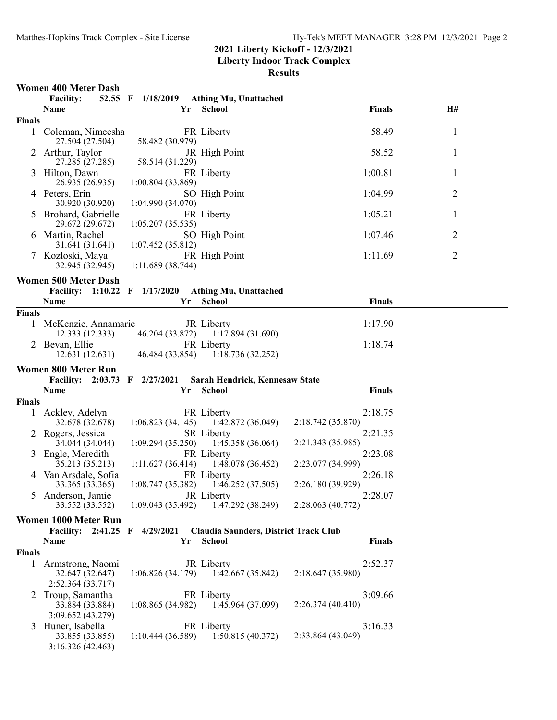**Liberty Indoor Track Complex**

**Results**

## **Women 400 Meter Dash**

|               | <b>Facility:</b>                                        |                   | 52.55 F 1/18/2019 Athing Mu, Unattached                    |                              |              |
|---------------|---------------------------------------------------------|-------------------|------------------------------------------------------------|------------------------------|--------------|
|               | Name                                                    | Yr                | <b>School</b>                                              | <b>Finals</b>                | H#           |
| <b>Finals</b> |                                                         |                   |                                                            |                              |              |
| $\mathbf{1}$  | Coleman, Nimeesha<br>27.504 (27.504)                    | 58.482 (30.979)   | FR Liberty                                                 | 58.49                        | $\mathbf{1}$ |
| 2             | Arthur, Taylor<br>27.285 (27.285)                       | 58.514 (31.229)   | JR High Point                                              | 58.52                        | 1            |
| 3             | Hilton, Dawn<br>26.935 (26.935)                         | 1:00.804 (33.869) | FR Liberty                                                 | 1:00.81                      | 1            |
|               | 4 Peters, Erin<br>30.920 (30.920)                       | 1:04.990 (34.070) | SO High Point                                              | 1:04.99                      | 2            |
| $\mathcal{D}$ | Brohard, Gabrielle<br>29.672 (29.672)                   | 1:05.207(35.535)  | FR Liberty                                                 | 1:05.21                      | 1            |
|               | 6 Martin, Rachel<br>31.641 (31.641)                     | 1:07.452(35.812)  | SO High Point                                              | 1:07.46                      | 2            |
|               | 7 Kozloski, Maya<br>32.945 (32.945)                     | 1:11.689(38.744)  | FR High Point                                              | 1:11.69                      | 2            |
|               | <b>Women 500 Meter Dash</b>                             |                   |                                                            |                              |              |
|               | Facility: 1:10.22 F 1/17/2020                           |                   | <b>Athing Mu, Unattached</b>                               |                              |              |
|               | Name                                                    | Yr                | <b>School</b>                                              | <b>Finals</b>                |              |
| <b>Finals</b> |                                                         |                   |                                                            |                              |              |
|               | McKenzie, Annamarie<br>12.333(12.333)                   |                   | JR Liberty<br>46.204 (33.872) 1:17.894 (31.690)            | 1:17.90                      |              |
|               | 2 Bevan, Ellie                                          |                   | FR Liberty                                                 | 1:18.74                      |              |
|               | 12.631(12.631)                                          |                   | 46.484 (33.854) 1:18.736 (32.252)                          |                              |              |
|               |                                                         |                   |                                                            |                              |              |
|               | <b>Women 800 Meter Run</b>                              |                   |                                                            |                              |              |
|               | Facility: 2:03.73 F 2/27/2021                           |                   | Sarah Hendrick, Kennesaw State                             |                              |              |
|               | <b>Name</b>                                             | Yr                | <b>School</b>                                              | <b>Finals</b>                |              |
| <b>Finals</b> |                                                         |                   |                                                            |                              |              |
|               | Ackley, Adelyn<br>32.678 (32.678)                       |                   | FR Liberty<br>$1:06.823(34.145)$ $1:42.872(36.049)$        | 2:18.75<br>2:18.742 (35.870) |              |
|               | 2 Rogers, Jessica<br>34.044 (34.044)                    |                   | <b>SR</b> Liberty<br>$1:09.294(35.250)$ $1:45.358(36.064)$ | 2:21.35<br>2:21.343 (35.985) |              |
| 3             | Engle, Meredith<br>35.213 (35.213)                      |                   | FR Liberty<br>$1:11.627(36.414)$ $1:48.078(36.452)$        | 2:23.08<br>2:23.077 (34.999) |              |
|               | 4 Van Arsdale, Sofia<br>33.365 (33.365)                 | 1:08.747(35.382)  | FR Liberty<br>1:46.252(37.505)                             | 2:26.18<br>2:26.180 (39.929) |              |
|               | 5 Anderson, Jamie<br>33.552 (33.552)                    |                   | JR Liberty<br>$1:09.043(35.492)$ $1:47.292(38.249)$        | 2:28.07<br>2:28.063 (40.772) |              |
|               | Women 1000 Meter Run                                    |                   |                                                            |                              |              |
|               | Facility: 2:41.25 F                                     | 4/29/2021         | <b>Claudia Saunders, District Track Club</b>               |                              |              |
|               | Name                                                    | Yr                | <b>School</b>                                              | <b>Finals</b>                |              |
| <b>Finals</b> |                                                         |                   |                                                            |                              |              |
| 1             | Armstrong, Naomi<br>32.647 (32.647)                     | 1:06.826(34.179)  | JR Liberty<br>1:42.667(35.842)                             | 2:52.37<br>2:18.647 (35.980) |              |
| 2             | 2:52.364 (33.717)<br>Troup, Samantha                    |                   | FR Liberty                                                 | 3:09.66                      |              |
|               | 33.884 (33.884)<br>3:09.652 (43.279)                    | 1:08.865(34.982)  | 1:45.964 (37.099)                                          | 2:26.374 (40.410)            |              |
| 3             | Huner, Isabella<br>33.855 (33.855)<br>3:16.326 (42.463) | 1:10.444(36.589)  | FR Liberty<br>1:50.815(40.372)                             | 3:16.33<br>2:33.864 (43.049) |              |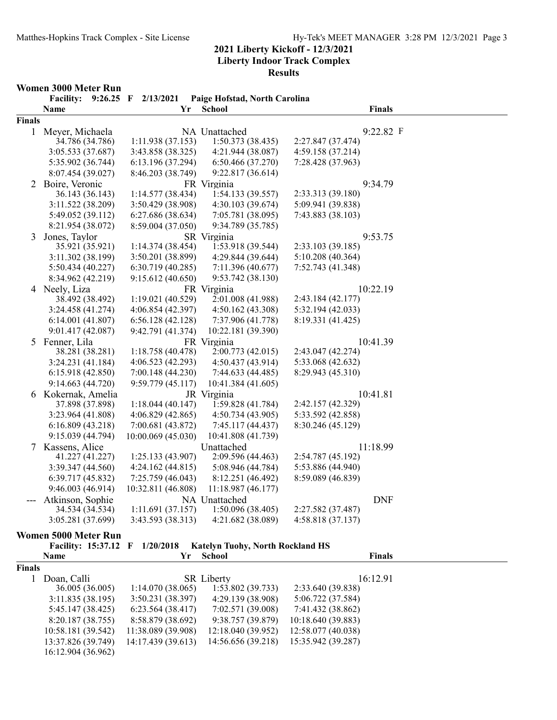**Results**

#### **Women 3000 Meter Run**

|               | Paige Hofstad, North Carolina<br><b>Facility:</b><br>$9:26.25$ F $2/13/2021$ |                    |                    |                   |  |  |  |
|---------------|------------------------------------------------------------------------------|--------------------|--------------------|-------------------|--|--|--|
|               | Name                                                                         | Yr                 | <b>School</b>      | <b>Finals</b>     |  |  |  |
| <b>Finals</b> |                                                                              |                    |                    |                   |  |  |  |
| 1             | Meyer, Michaela                                                              |                    | NA Unattached      | 9:22.82 F         |  |  |  |
|               | 34.786 (34.786)                                                              | 1:11.938(37.153)   | 1:50.373(38.435)   | 2:27.847 (37.474) |  |  |  |
|               | 3:05.533 (37.687)                                                            | 3:43.858 (38.325)  | 4:21.944 (38.087)  | 4:59.158 (37.214) |  |  |  |
|               | 5:35.902 (36.744)                                                            | 6:13.196 (37.294)  | 6:50.466 (37.270)  | 7:28.428 (37.963) |  |  |  |
|               | 8:07.454 (39.027)                                                            | 8:46.203 (38.749)  | 9:22.817 (36.614)  |                   |  |  |  |
|               | 2 Boire, Veronic                                                             |                    | FR Virginia        | 9:34.79           |  |  |  |
|               | 36.143 (36.143)                                                              | 1:14.577(38.434)   | 1:54.133(39.557)   | 2:33.313 (39.180) |  |  |  |
|               | 3:11.522 (38.209)                                                            | 3:50.429 (38.908)  | 4:30.103 (39.674)  | 5:09.941 (39.838) |  |  |  |
|               | 5:49.052 (39.112)                                                            | 6:27.686 (38.634)  | 7:05.781 (38.095)  | 7:43.883 (38.103) |  |  |  |
|               | 8:21.954 (38.072)                                                            | 8:59.004 (37.050)  | 9:34.789 (35.785)  |                   |  |  |  |
| 3             | Jones, Taylor                                                                |                    | SR Virginia        | 9:53.75           |  |  |  |
|               | 35.921 (35.921)                                                              | 1:14.374(38.454)   | 1:53.918 (39.544)  | 2:33.103 (39.185) |  |  |  |
|               | 3:11.302 (38.199)                                                            | 3:50.201 (38.899)  | 4:29.844 (39.644)  | 5:10.208 (40.364) |  |  |  |
|               | 5:50.434 (40.227)                                                            | 6:30.719(40.285)   | 7:11.396 (40.677)  | 7:52.743 (41.348) |  |  |  |
|               | 8:34.962 (42.219)                                                            | 9:15.612(40.650)   | 9:53.742 (38.130)  |                   |  |  |  |
|               | 4 Neely, Liza                                                                |                    | FR Virginia        | 10:22.19          |  |  |  |
|               | 38.492 (38.492)                                                              | 1:19.021 (40.529)  | 2:01.008 (41.988)  | 2:43.184 (42.177) |  |  |  |
|               | 3:24.458 (41.274)                                                            | 4:06.854 (42.397)  | 4:50.162 (43.308)  | 5:32.194 (42.033) |  |  |  |
|               | 6:14.001(41.807)                                                             | 6:56.128(42.128)   | 7:37.906 (41.778)  | 8:19.331 (41.425) |  |  |  |
|               | 9:01.417 (42.087)                                                            | 9:42.791 (41.374)  | 10:22.181 (39.390) |                   |  |  |  |
|               | 5 Fenner, Lila                                                               |                    | FR Virginia        | 10:41.39          |  |  |  |
|               | 38.281 (38.281)                                                              | 1:18.758(40.478)   | 2:00.773 (42.015)  | 2:43.047 (42.274) |  |  |  |
|               | 3:24.231(41.184)                                                             | 4:06.523(42.293)   | 4:50.437 (43.914)  | 5:33.068 (42.632) |  |  |  |
|               | 6:15.918(42.850)                                                             | 7:00.148 (44.230)  | 7:44.633 (44.485)  | 8:29.943 (45.310) |  |  |  |
|               | 9:14.663 (44.720)                                                            | 9:59.779 (45.117)  | 10:41.384 (41.605) |                   |  |  |  |
|               | 6 Kokernak, Amelia                                                           |                    | JR Virginia        | 10:41.81          |  |  |  |
|               | 37.898 (37.898)                                                              | 1:18.044(40.147)   | 1:59.828 (41.784)  | 2:42.157 (42.329) |  |  |  |
|               | 3:23.964 (41.808)                                                            | 4:06.829(42.865)   | 4:50.734 (43.905)  | 5:33.592 (42.858) |  |  |  |
|               | 6:16.809(43.218)                                                             | 7:00.681 (43.872)  | 7:45.117 (44.437)  | 8:30.246 (45.129) |  |  |  |
|               | 9:15.039 (44.794)                                                            | 10:00.069 (45.030) | 10:41.808 (41.739) |                   |  |  |  |
| 7             | Kassens, Alice                                                               |                    | Unattached         | 11:18.99          |  |  |  |
|               | 41.227 (41.227)                                                              | 1:25.133 (43.907)  | 2:09.596 (44.463)  | 2:54.787 (45.192) |  |  |  |
|               | 3:39.347 (44.560)                                                            | 4:24.162(44.815)   | 5:08.946 (44.784)  | 5:53.886 (44.940) |  |  |  |
|               | 6:39.717(45.832)                                                             | 7:25.759 (46.043)  | 8:12.251 (46.492)  | 8:59.089 (46.839) |  |  |  |
|               | 9:46.003 (46.914)                                                            | 10:32.811 (46.808) | 11:18.987 (46.177) |                   |  |  |  |
|               | Atkinson, Sophie                                                             |                    | NA Unattached      | <b>DNF</b>        |  |  |  |
|               | 34.534 (34.534)                                                              | 1:11.691(37.157)   | 1:50.096(38.405)   | 2:27.582 (37.487) |  |  |  |
|               | 3:05.281 (37.699)                                                            | 3:43.593 (38.313)  | 4:21.682 (38.089)  | 4:58.818(37.137)  |  |  |  |
|               |                                                                              |                    |                    |                   |  |  |  |

#### **Women 5000 Meter Run**

|               | Facility: 15:37.12 F 1/20/2018 |                    | <b>Katelyn Tuohy, North Rockland HS</b> |                    |  |
|---------------|--------------------------------|--------------------|-----------------------------------------|--------------------|--|
|               | <b>Name</b>                    | Yr                 | School                                  | <b>Finals</b>      |  |
| <b>Finals</b> |                                |                    |                                         |                    |  |
|               | Doan, Calli                    |                    | <b>SR</b> Liberty                       | 16:12.91           |  |
|               | 36.005 (36.005)                | 1:14.070(38.065)   | 1:53.802(39.733)                        | 2:33.640 (39.838)  |  |
|               | 3:11.835(38.195)               | 3:50.231(38.397)   | 4:29.139 (38.908)                       | 5:06.722 (37.584)  |  |
|               | 5:45.147 (38.425)              | 6:23.564(38.417)   | 7:02.571 (39.008)                       | 7:41.432 (38.862)  |  |
|               | 8:20.187(38.755)               | 8:58.879 (38.692)  | 9:38.757 (39.879)                       | 10:18.640 (39.883) |  |
|               | 10:58.181 (39.542)             | 11:38.089 (39.908) | 12:18.040 (39.952)                      | 12:58.077 (40.038) |  |
|               | 13:37.826 (39.749)             | 14:17.439 (39.613) | 14:56.656 (39.218)                      | 15:35.942 (39.287) |  |
|               | 16:12.904 (36.962)             |                    |                                         |                    |  |
|               |                                |                    |                                         |                    |  |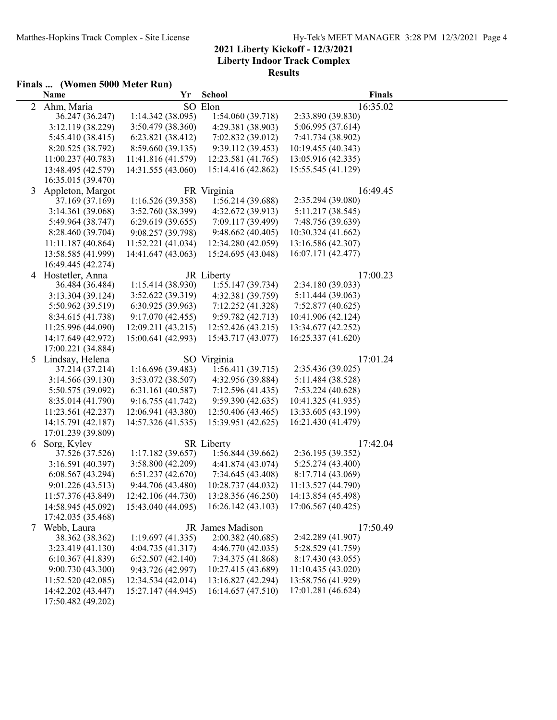## **Finals ... (Women 5000 Meter Run)**

|   | <b>Name</b>                              | Yr                                       | <b>School</b>                            |                                          | <b>Finals</b> |
|---|------------------------------------------|------------------------------------------|------------------------------------------|------------------------------------------|---------------|
| 2 | Ahm, Maria                               |                                          | SO Elon                                  |                                          | 16:35.02      |
|   | 36.247 (36.247)                          | 1:14.342(38.095)                         | 1:54.060 (39.718)                        | 2:33.890 (39.830)                        |               |
|   | 3:12.119 (38.229)                        | 3:50.479 (38.360)                        | 4:29.381 (38.903)                        | 5:06.995 (37.614)                        |               |
|   | 5:45.410 (38.415)                        | 6:23.821(38.412)                         | 7:02.832 (39.012)                        | 7:41.734 (38.902)                        |               |
|   | 8:20.525 (38.792)                        | 8:59.660 (39.135)                        | 9:39.112 (39.453)                        | 10:19.455 (40.343)                       |               |
|   | 11:00.237 (40.783)                       | 11:41.816 (41.579)                       | 12:23.581 (41.765)                       | 13:05.916 (42.335)                       |               |
|   | 13:48.495 (42.579)                       | 14:31.555 (43.060)                       | 15:14.416 (42.862)                       | 15:55.545 (41.129)                       |               |
|   | 16:35.015 (39.470)                       |                                          |                                          |                                          |               |
| 3 | Appleton, Margot                         |                                          | FR Virginia                              |                                          | 16:49.45      |
|   | 37.169 (37.169)                          | 1:16.526(39.358)                         | 1:56.214 (39.688)                        | 2:35.294 (39.080)                        |               |
|   | 3:14.361 (39.068)                        | 3:52.760 (38.399)                        | 4:32.672 (39.913)                        | 5:11.217 (38.545)                        |               |
|   | 5:49.964 (38.747)                        | 6:29.619(39.655)                         | 7:09.117 (39.499)                        | 7:48.756 (39.639)                        |               |
|   | 8:28.460 (39.704)                        | 9:08.257 (39.798)                        | 9:48.662(40.405)                         | 10:30.324 (41.662)                       |               |
|   | 11:11.187(40.864)                        | 11:52.221 (41.034)                       | 12:34.280 (42.059)                       | 13:16.586 (42.307)                       |               |
|   | 13:58.585 (41.999)                       | 14:41.647 (43.063)                       | 15:24.695 (43.048)                       | 16:07.171 (42.477)                       |               |
|   | 16:49.445 (42.274)                       |                                          |                                          |                                          |               |
|   | 4 Hostetler, Anna                        |                                          | JR Liberty                               |                                          | 17:00.23      |
|   | 36.484 (36.484)                          | 1:15.414(38.930)                         | 1:55.147(39.734)                         | 2:34.180 (39.033)                        |               |
|   | 3:13.304 (39.124)                        | 3:52.622 (39.319)                        | 4:32.381 (39.759)                        | 5:11.444 (39.063)                        |               |
|   | 5:50.962 (39.519)                        | 6:30.925(39.963)                         | 7:12.252 (41.328)                        | 7:52.877(40.625)                         |               |
|   | 8:34.615 (41.738)                        | 9:17.070(42.455)                         | 9:59.782 (42.713)                        | 10:41.906 (42.124)                       |               |
|   | 11:25.996 (44.090)<br>14:17.649 (42.972) | 12:09.211 (43.215)<br>15:00.641 (42.993) | 12:52.426 (43.215)<br>15:43.717 (43.077) | 13:34.677 (42.252)<br>16:25.337 (41.620) |               |
|   | 17:00.221 (34.884)                       |                                          |                                          |                                          |               |
| 5 | Lindsay, Helena                          |                                          | SO Virginia                              |                                          | 17:01.24      |
|   | 37.214 (37.214)                          | 1:16.696(39.483)                         | 1:56.411(39.715)                         | 2:35.436 (39.025)                        |               |
|   | 3:14.566(39.130)                         | 3:53.072 (38.507)                        | 4:32.956 (39.884)                        | 5:11.484 (38.528)                        |               |
|   | 5:50.575 (39.092)                        | 6:31.161(40.587)                         | 7:12.596 (41.435)                        | 7:53.224 (40.628)                        |               |
|   | 8:35.014 (41.790)                        | 9:16.755(41.742)                         | 9:59.390(42.635)                         | 10:41.325 (41.935)                       |               |
|   | 11:23.561 (42.237)                       | 12:06.941 (43.380)                       | 12:50.406 (43.465)                       | 13:33.605 (43.199)                       |               |
|   | 14:15.791 (42.187)                       | 14:57.326 (41.535)                       | 15:39.951 (42.625)                       | 16:21.430 (41.479)                       |               |
|   | 17:01.239 (39.809)                       |                                          |                                          |                                          |               |
| 6 | Sorg, Kyley                              |                                          | <b>SR</b> Liberty                        |                                          | 17:42.04      |
|   | 37.526 (37.526)                          | 1:17.182(39.657)                         | 1:56.844 (39.662)                        | 2:36.195 (39.352)                        |               |
|   | 3:16.591 (40.397)                        | 3:58.800 (42.209)                        | 4:41.874 (43.074)                        | 5:25.274 (43.400)                        |               |
|   | 6:08.567(43.294)                         | 6:51.237(42.670)                         | 7:34.645 (43.408)                        | 8:17.714 (43.069)                        |               |
|   | 9:01.226 (43.513)                        | 9:44.706 (43.480)                        | 10:28.737 (44.032)                       | 11:13.527 (44.790)                       |               |
|   | 11:57.376 (43.849)                       | 12:42.106 (44.730)                       | 13:28.356 (46.250)                       | 14:13.854 (45.498)                       |               |
|   | 14:58.945 (45.092)                       | 15:43.040 (44.095)                       | 16:26.142 (43.103)                       | 17:06.567 (40.425)                       |               |
|   | 17:42.035 (35.468)                       |                                          |                                          |                                          |               |
| 7 | Webb, Laura                              |                                          | JR James Madison                         |                                          | 17:50.49      |
|   | 38.362 (38.362)                          | 1:19.697(41.335)                         | 2:00.382 (40.685)                        | 2:42.289 (41.907)                        |               |
|   | 3:23.419 (41.130)                        | 4:04.735(41.317)                         | 4:46.770 (42.035)                        | 5:28.529 (41.759)                        |               |
|   | 6:10.367(41.839)                         | 6:52.507(42.140)                         | 7:34.375 (41.868)                        | 8:17.430 (43.055)                        |               |
|   | 9:00.730 (43.300)                        | 9:43.726 (42.997)                        | 10:27.415 (43.689)                       | 11:10.435 (43.020)                       |               |
|   | 11:52.520 (42.085)                       | 12:34.534 (42.014)                       | 13:16.827 (42.294)                       | 13:58.756 (41.929)                       |               |
|   | 14:42.202 (43.447)                       | 15:27.147 (44.945)                       | 16:14.657 (47.510)                       | 17:01.281 (46.624)                       |               |
|   | 17:50.482 (49.202)                       |                                          |                                          |                                          |               |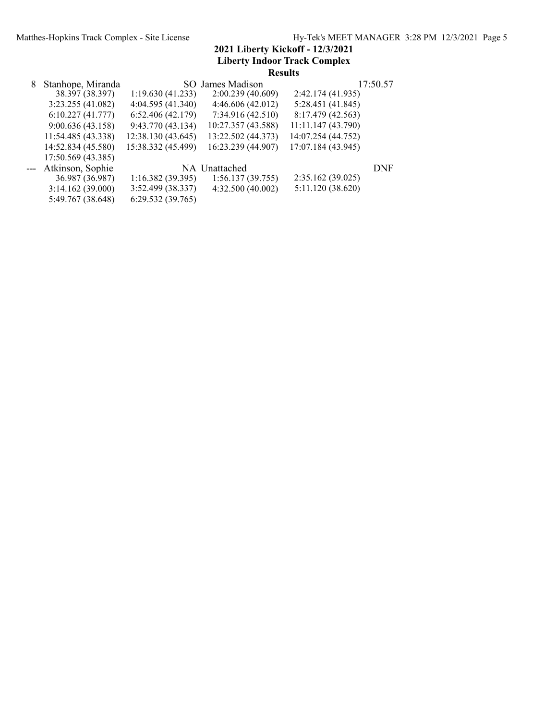|   |                    |                    | <b>Results</b>     |                    |            |
|---|--------------------|--------------------|--------------------|--------------------|------------|
| 8 | Stanhope, Miranda  |                    | SO James Madison   |                    | 17:50.57   |
|   | 38.397 (38.397)    | 1:19.630(41.233)   | 2:00.239(40.609)   | 2:42.174 (41.935)  |            |
|   | 3:23.255(41.082)   | 4:04.595 (41.340)  | 4:46.606(42.012)   | 5:28.451 (41.845)  |            |
|   | 6:10.227(41.777)   | 6:52.406(42.179)   | 7:34.916(42.510)   | 8:17.479 (42.563)  |            |
|   | 9:00.636(43.158)   | 9:43.770 (43.134)  | 10:27.357 (43.588) | 11:11.147 (43.790) |            |
|   | 11:54.485 (43.338) | 12:38.130 (43.645) | 13:22.502 (44.373) | 14:07.254 (44.752) |            |
|   | 14:52.834 (45.580) | 15:38.332 (45.499) | 16:23.239 (44.907) | 17:07.184 (43.945) |            |
|   | 17:50.569 (43.385) |                    |                    |                    |            |
|   | Atkinson, Sophie   |                    | NA Unattached      |                    | <b>DNF</b> |
|   | 36.987 (36.987)    | 1:16.382(39.395)   | 1:56.137(39.755)   | 2:35.162(39.025)   |            |
|   | 3:14.162(39.000)   | 3:52.499 (38.337)  | 4:32.500(40.002)   | 5:11.120(38.620)   |            |
|   | 5:49.767 (38.648)  | 6:29.532(39.765)   |                    |                    |            |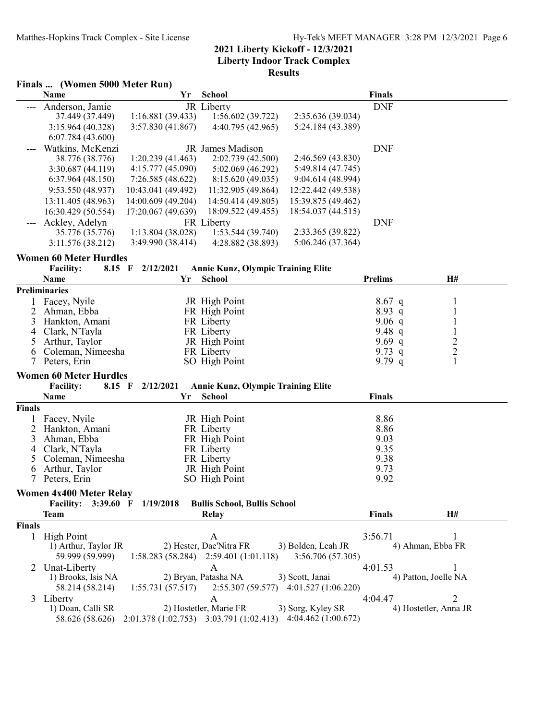|                | Finals  (Women 5000 Meter Run)  |                    |                                           |                                       |                    |                       |  |
|----------------|---------------------------------|--------------------|-------------------------------------------|---------------------------------------|--------------------|-----------------------|--|
|                | Name                            | Yr                 | School                                    |                                       | <b>Finals</b>      |                       |  |
| ---            | Anderson, Jamie                 |                    | JR Liberty                                |                                       | <b>DNF</b>         |                       |  |
|                | 37.449 (37.449)                 | 1:16.881(39.433)   | 1:56.602(39.722)                          | 2:35.636 (39.034)                     |                    |                       |  |
|                | 3:15.964 (40.328)               | 3:57.830 (41.867)  | 4:40.795 (42.965)                         | 5:24.184 (43.389)                     |                    |                       |  |
|                | 6:07.784(43.600)                |                    |                                           |                                       |                    |                       |  |
|                | Watkins, McKenzi                |                    | JR James Madison                          |                                       | <b>DNF</b>         |                       |  |
|                | 38.776 (38.776)                 | 1:20.239(41.463)   | 2:02.739 (42.500)                         | 2:46.569 (43.830)                     |                    |                       |  |
|                | 3:30.687 (44.119)               | 4:15.777(45.090)   | 5:02.069 (46.292)                         | 5:49.814 (47.745)                     |                    |                       |  |
|                | 6:37.964(48.150)                | 7:26.585(48.622)   | 8:15.620 (49.035)                         | 9:04.614 (48.994)                     |                    |                       |  |
|                | 9:53.550 (48.937)               | 10:43.041 (49.492) | 11:32.905 (49.864)                        | 12:22.442 (49.538)                    |                    |                       |  |
|                | 13:11.405 (48.963)              | 14:00.609 (49.204) | 14:50.414 (49.805)                        | 15:39.875 (49.462)                    |                    |                       |  |
|                | 16:30.429 (50.554)              | 17:20.067 (49.639) | 18:09.522 (49.455)                        | 18:54.037 (44.515)                    |                    |                       |  |
|                | Ackley, Adelyn                  |                    | FR Liberty                                |                                       | <b>DNF</b>         |                       |  |
|                | 35.776 (35.776)                 | 1:13.804 (38.028)  | 1:53.544 (39.740)                         | 2:33.365 (39.822)                     |                    |                       |  |
|                | 3:11.576 (38.212)               | 3:49.990 (38.414)  | 4:28.882 (38.893)                         | 5:06.246 (37.364)                     |                    |                       |  |
|                | <b>Women 60 Meter Hurdles</b>   |                    |                                           |                                       |                    |                       |  |
|                | <b>Facility:</b><br>8.15 F      | 2/12/2021          | <b>Annie Kunz, Olympic Training Elite</b> |                                       |                    |                       |  |
|                | Name                            | Yr                 | School                                    |                                       | <b>Prelims</b>     | H#                    |  |
|                | <b>Preliminaries</b>            |                    |                                           |                                       |                    |                       |  |
|                | Facey, Nyile                    |                    | JR High Point                             |                                       | $8.67$ q           | 1                     |  |
| 2              | Ahman, Ebba                     |                    | FR High Point                             |                                       | 8.93 q             | $\mathbf{1}$          |  |
| 3              | Hankton, Amani                  |                    | FR Liberty                                |                                       | 9.06 $q$           | $\mathbf{1}$          |  |
| 4              | Clark, N'Tayla                  |                    | FR Liberty                                |                                       | 9.48 $q$           | $\mathbf{1}$          |  |
| 5              | Arthur, Taylor                  |                    | JR High Point                             |                                       | 9.69q              | $\overline{c}$        |  |
| 6<br>7         | Coleman, Nimeesha               |                    | FR Liberty                                |                                       | 9.73 $q$<br>9.79 q | $\overline{c}$<br>1   |  |
|                | Peters, Erin                    |                    | SO High Point                             |                                       |                    |                       |  |
|                | <b>Women 60 Meter Hurdles</b>   |                    |                                           |                                       |                    |                       |  |
|                | <b>Facility:</b><br>$8.15$ F    | 2/12/2021          | <b>Annie Kunz, Olympic Training Elite</b> |                                       |                    |                       |  |
|                | Name                            | Yr                 | School                                    |                                       | <b>Finals</b>      |                       |  |
| <b>Finals</b>  |                                 |                    |                                           |                                       |                    |                       |  |
| 1              | Facey, Nyile                    |                    | JR High Point                             |                                       | 8.86               |                       |  |
| $\overline{2}$ | Hankton, Amani<br>Ahman, Ebba   |                    | FR Liberty                                |                                       | 8.86               |                       |  |
| 3<br>4         | Clark, N'Tayla                  |                    | FR High Point<br>FR Liberty               |                                       | 9.03<br>9.35       |                       |  |
| 5              | Coleman, Nimeesha               |                    | FR Liberty                                |                                       | 9.38               |                       |  |
| 6              | Arthur, Taylor                  |                    | JR High Point                             |                                       | 9.73               |                       |  |
| 7              | Peters, Erin                    |                    | SO High Point                             |                                       | 9.92               |                       |  |
|                | <b>Women 4x400 Meter Relay</b>  |                    |                                           |                                       |                    |                       |  |
|                | <b>Facility:</b><br>$3:39.60$ F | 1/19/2018          | <b>Bullis School, Bullis School</b>       |                                       |                    |                       |  |
|                | <b>Team</b>                     |                    | Relay                                     |                                       | Finals             | H#                    |  |
| <b>Finals</b>  |                                 |                    |                                           |                                       |                    |                       |  |
|                | 1 High Point                    |                    | A                                         |                                       | 3:56.71            | 1                     |  |
|                | 1) Arthur, Taylor JR            |                    | 2) Hester, Dae'Nitra FR                   | 3) Bolden, Leah JR                    |                    | 4) Ahman, Ebba FR     |  |
|                | 59.999 (59.999)                 |                    | $1:58.283(58.284)$ $2:59.401(1:01.118)$   | 3:56.706(57.305)                      |                    |                       |  |
|                | Unat-Liberty                    |                    | A                                         |                                       | 4:01.53            | 1                     |  |
|                | 1) Brooks, Isis NA              |                    | 2) Bryan, Patasha NA                      | 3) Scott, Janai                       |                    | 4) Patton, Joelle NA  |  |
|                | 58.214 (58.214)                 | 1:55.731(57.517)   |                                           | 2:55.307 (59.577) 4:01.527 (1:06.220) |                    |                       |  |
| 3              | Liberty                         |                    | A                                         |                                       | 4:04.47            | $\overline{2}$        |  |
|                | 1) Doan, Calli SR               |                    | 2) Hostetler, Marie FR                    | 3) Sorg, Kyley SR                     |                    | 4) Hostetler, Anna JR |  |
|                | 58.626 (58.626)                 |                    | $2:01.378(1:02.753)$ $3:03.791(1:02.413)$ | 4:04.462(1:00.672)                    |                    |                       |  |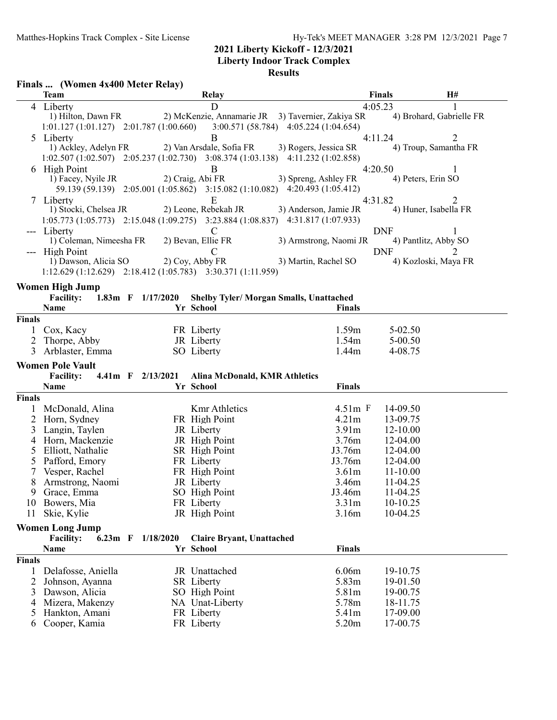#### **Liberty Indoor Track Complex**

|                | Finals  (Women 4x400 Meter Relay)                           |                   |                                  |                                                                                                 |              |                             |
|----------------|-------------------------------------------------------------|-------------------|----------------------------------|-------------------------------------------------------------------------------------------------|--------------|-----------------------------|
|                | <b>Team</b>                                                 |                   | <b>Relay</b>                     |                                                                                                 | Finals       | H#                          |
|                | 4 Liberty                                                   |                   | D                                |                                                                                                 | 4:05.23      | 1                           |
|                | 1) Hilton, Dawn FR                                          |                   |                                  | 2) McKenzie, Annamarie JR 3) Tavernier, Zakiya SR                                               |              | 4) Brohard, Gabrielle FR    |
|                | $1:01.127(1:01.127)$ $2:01.787(1:00.660)$                   |                   |                                  | 3:00.571 (58.784) 4:05.224 (1:04.654)                                                           |              |                             |
|                | 5 Liberty                                                   |                   | B                                |                                                                                                 | 4:11.24      | 2                           |
|                | 1) Ackley, Adelyn FR                                        |                   |                                  | 2) Van Arsdale, Sofia FR 3) Rogers, Jessica SR                                                  |              | 4) Troup, Samantha FR       |
|                |                                                             |                   |                                  | 1:02.507 (1:02.507) 2:05.237 (1:02.730) 3:08.374 (1:03.138) 4:11.232 (1:02.858)                 |              |                             |
| 6              | <b>High Point</b>                                           |                   | B                                |                                                                                                 | 4:20.50      | 1                           |
|                | 1) Facey, Nyile JR                                          |                   |                                  | 2) Craig, Abi FR 3) Spreng, Ashley FR                                                           |              | 4) Peters, Erin SO          |
|                |                                                             |                   |                                  | 59.139 (59.139) 2:05.001 (1:05.862) 3:15.082 (1:10.082) 4:20.493 (1:05.412)                     |              |                             |
|                | 7 Liberty                                                   |                   | E                                |                                                                                                 | 4:31.82      | $\overline{2}$              |
|                | 1) Stocki, Chelsea JR                                       |                   |                                  | 2) Leone, Rebekah JR 3) Anderson, Jamie JR                                                      |              | 4) Huner, Isabella FR       |
|                |                                                             |                   |                                  | $1:05.773$ $(1:05.773)$ $2:15.048$ $(1:09.275)$ $3:23.884$ $(1:08.837)$ $4:31.817$ $(1:07.933)$ |              |                             |
|                | Liberty                                                     |                   | $\mathbf C$                      |                                                                                                 | <b>DNF</b>   |                             |
|                | 1) Coleman, Nimeesha FR                                     |                   | 2) Bevan, Ellie FR               | 3) Armstrong, Naomi JR                                                                          |              | 4) Pantlitz, Abby SO        |
|                | --- High Point                                              |                   | C                                |                                                                                                 | <b>DNF</b>   | $\mathcal{D}_{\mathcal{L}}$ |
|                | 1) Dawson, Alicia SO                                        |                   | 2) Coy, Abby FR                  | 3) Martin, Rachel SO                                                                            |              | 4) Kozloski, Maya FR        |
|                | 1:12.629 (1:12.629) 2:18.412 (1:05.783) 3:30.371 (1:11.959) |                   |                                  |                                                                                                 |              |                             |
|                | <b>Women High Jump</b>                                      |                   |                                  |                                                                                                 |              |                             |
|                | Facility: 1.83m F 1/17/2020                                 |                   |                                  | Shelby Tyler/ Morgan Smalls, Unattached                                                         |              |                             |
|                | Name                                                        |                   | Yr School                        | <b>Finals</b>                                                                                   |              |                             |
| Finals         |                                                             |                   |                                  |                                                                                                 |              |                             |
|                | 1 Cox, Kacy                                                 |                   | FR Liberty                       | 1.59m                                                                                           | $5 - 02.50$  |                             |
| $\overline{2}$ | Thorpe, Abby                                                |                   | JR Liberty                       | 1.54m                                                                                           | 5-00.50      |                             |
| 3              | Arblaster, Emma                                             |                   | SO Liberty                       | 1.44m                                                                                           | 4-08.75      |                             |
|                | <b>Women Pole Vault</b>                                     |                   |                                  |                                                                                                 |              |                             |
|                | <b>Facility:</b>                                            | 4.41m F 2/13/2021 | Alina McDonald, KMR Athletics    |                                                                                                 |              |                             |
|                | Name                                                        |                   | Yr School                        | <b>Finals</b>                                                                                   |              |                             |
| Finals         |                                                             |                   |                                  |                                                                                                 |              |                             |
|                | McDonald, Alina                                             |                   | <b>Kmr</b> Athletics             | $4.51m$ F                                                                                       | 14-09.50     |                             |
| 2              | Horn, Sydney                                                |                   | FR High Point                    | 4.21m                                                                                           | 13-09.75     |                             |
| 3              | Langin, Taylen                                              |                   | JR Liberty                       | 3.91 <sub>m</sub>                                                                               | 12-10.00     |                             |
| 4              | Horn, Mackenzie                                             |                   | JR High Point                    | 3.76m                                                                                           | 12-04.00     |                             |
| 5              | Elliott, Nathalie                                           |                   | SR High Point                    | J3.76m                                                                                          | 12-04.00     |                             |
| 5              | Pafford, Emory                                              |                   | FR Liberty                       | J3.76m                                                                                          | 12-04.00     |                             |
| 7              | Vesper, Rachel                                              |                   | FR High Point                    | 3.61 <sub>m</sub>                                                                               | $11 - 10.00$ |                             |
| 8              | Armstrong, Naomi                                            |                   | JR Liberty                       | 3.46m                                                                                           | 11-04.25     |                             |
| 9.             | Grace, Emma                                                 |                   | SO High Point                    | J3.46m                                                                                          | 11-04.25     |                             |
| 10             | Bowers, Mia                                                 |                   | FR Liberty                       | 3.31 <sub>m</sub>                                                                               | 10-10.25     |                             |
| 11             | Skie, Kylie                                                 |                   | JR High Point                    | 3.16m                                                                                           | 10-04.25     |                             |
|                |                                                             |                   |                                  |                                                                                                 |              |                             |
|                | <b>Women Long Jump</b>                                      |                   |                                  |                                                                                                 |              |                             |
|                | <b>Facility:</b>                                            | 6.23m F 1/18/2020 | <b>Claire Bryant, Unattached</b> |                                                                                                 |              |                             |
|                | Name                                                        |                   | Yr School                        | <b>Finals</b>                                                                                   |              |                             |
| <b>Finals</b>  |                                                             |                   |                                  |                                                                                                 |              |                             |
| 1              | Delafosse, Aniella                                          |                   | JR Unattached                    | 6.06m                                                                                           | 19-10.75     |                             |
| $\overline{2}$ | Johnson, Ayanna                                             |                   | <b>SR</b> Liberty                | 5.83m                                                                                           | 19-01.50     |                             |
| 3              | Dawson, Alicia                                              |                   | SO High Point                    | 5.81m                                                                                           | 19-00.75     |                             |
| 4              | Mizera, Makenzy                                             |                   | NA Unat-Liberty                  | 5.78m                                                                                           | 18-11.75     |                             |
| 5              | Hankton, Amani                                              |                   | FR Liberty                       | 5.41m                                                                                           | 17-09.00     |                             |
| 6              | Cooper, Kamia                                               |                   | FR Liberty                       | 5.20m                                                                                           | 17-00.75     |                             |
|                |                                                             |                   |                                  |                                                                                                 |              |                             |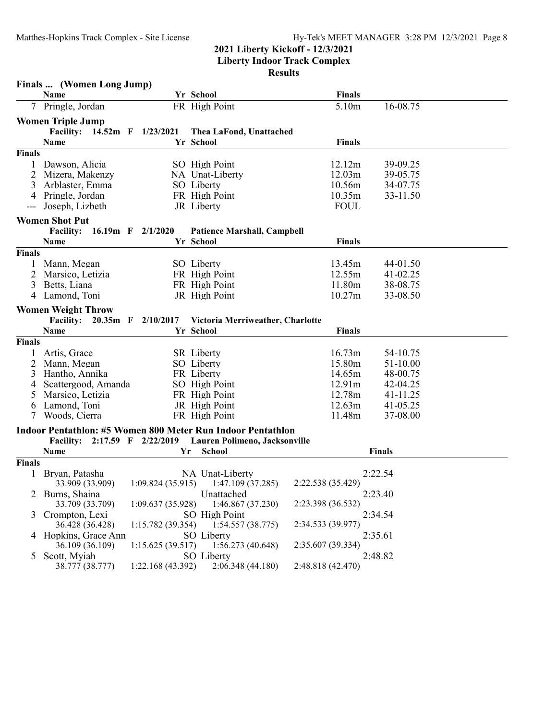#### **Liberty Indoor Track Complex Results**

|               | Finals  (Women Long Jump)     |                       |                                                             |                   |               |  |
|---------------|-------------------------------|-----------------------|-------------------------------------------------------------|-------------------|---------------|--|
|               | Name                          |                       | Yr School                                                   | <b>Finals</b>     |               |  |
|               | 7 Pringle, Jordan             |                       | FR High Point                                               | 5.10m             | 16-08.75      |  |
|               | <b>Women Triple Jump</b>      |                       |                                                             |                   |               |  |
|               | Facility: 14.52m F 1/23/2021  |                       | Thea LaFond, Unattached                                     |                   |               |  |
|               | Name                          |                       | Yr School                                                   | <b>Finals</b>     |               |  |
| Finals        |                               |                       |                                                             |                   |               |  |
|               | Dawson, Alicia                |                       | SO High Point                                               | 12.12m            | 39-09.25      |  |
| 2             | Mizera, Makenzy               |                       | NA Unat-Liberty                                             | 12.03m            | 39-05.75      |  |
| 3             | Arblaster, Emma               |                       | SO Liberty                                                  | 10.56m            | 34-07.75      |  |
| 4             | Pringle, Jordan               |                       | FR High Point                                               | 10.35m            | 33-11.50      |  |
| ---           | Joseph, Lizbeth               |                       | JR Liberty                                                  | <b>FOUL</b>       |               |  |
|               | <b>Women Shot Put</b>         |                       |                                                             |                   |               |  |
|               | <b>Facility:</b>              | 16.19m $F = 2/1/2020$ | <b>Patience Marshall, Campbell</b>                          |                   |               |  |
|               | <b>Name</b>                   |                       | Yr School                                                   | <b>Finals</b>     |               |  |
| Finals        |                               |                       |                                                             |                   |               |  |
|               | Mann, Megan                   |                       | SO Liberty                                                  | 13.45m            | 44-01.50      |  |
| 2             | Marsico, Letizia              |                       | FR High Point                                               | 12.55m            | 41-02.25      |  |
| 3             | Betts, Liana                  |                       | FR High Point                                               | 11.80m            | 38-08.75      |  |
| 4             | Lamond, Toni                  |                       | JR High Point                                               | 10.27m            | 33-08.50      |  |
|               | <b>Women Weight Throw</b>     |                       |                                                             |                   |               |  |
|               | <b>Facility:</b>              | 20.35m F 2/10/2017    | Victoria Merriweather, Charlotte                            |                   |               |  |
|               | Name                          |                       | Yr School                                                   | <b>Finals</b>     |               |  |
| <b>Finals</b> |                               |                       |                                                             |                   |               |  |
| 1             | Artis, Grace                  |                       | <b>SR</b> Liberty                                           | 16.73m            | 54-10.75      |  |
| 2             | Mann, Megan                   |                       | SO Liberty                                                  | 15.80m            | 51-10.00      |  |
| 3             | Hantho, Annika                |                       | FR Liberty                                                  | 14.65m            | 48-00.75      |  |
| 4             | Scattergood, Amanda           |                       | SO High Point                                               | 12.91m            | 42-04.25      |  |
| 5             | Marsico, Letizia              |                       | FR High Point                                               | 12.78m            | 41-11.25      |  |
| 6             | Lamond, Toni                  |                       | JR High Point                                               | 12.63m            | 41-05.25      |  |
|               | Woods, Cierra                 |                       | FR High Point                                               | 11.48m            | 37-08.00      |  |
|               |                               |                       | Indoor Pentathlon: #5 Women 800 Meter Run Indoor Pentathlon |                   |               |  |
|               | Facility: 2:17.59 F 2/22/2019 |                       | Lauren Polimeno, Jacksonville                               |                   |               |  |
|               | Name                          |                       | <b>School</b><br>Yr                                         |                   | <b>Finals</b> |  |
| Finals        |                               |                       |                                                             |                   |               |  |
| $\mathbf{1}$  | Bryan, Patasha                |                       | NA Unat-Liberty                                             |                   | 2:22.54       |  |
|               | 33.909 (33.909)               |                       | $1:09.824(35.915)$ $1:47.109(37.285)$                       | 2:22.538 (35.429) |               |  |
|               | Burns, Shaina                 |                       | Unattached                                                  |                   | 2:23.40       |  |
|               | 33.709 (33.709)               | 1:09.637(35.928)      | 1:46.867 (37.230)                                           | 2:23.398 (36.532) |               |  |
| 3             | Crompton, Lexi                |                       | SO High Point                                               |                   | 2:34.54       |  |
|               | 36.428 (36.428)               | 1:15.782 (39.354)     | 1:54.557(38.775)                                            | 2:34.533 (39.977) |               |  |
|               | 4 Hopkins, Grace Ann          |                       | SO Liberty                                                  |                   | 2:35.61       |  |
|               | 36.109 (36.109)               | 1:15.625(39.517)      | 1:56.273(40.648)                                            | 2:35.607 (39.334) |               |  |
| 5             | Scott, Myiah                  |                       | SO Liberty                                                  |                   | 2:48.82       |  |
|               | 38.777 (38.777)               | 1:22.168 (43.392)     | 2:06.348 (44.180)                                           | 2:48.818 (42.470) |               |  |
|               |                               |                       |                                                             |                   |               |  |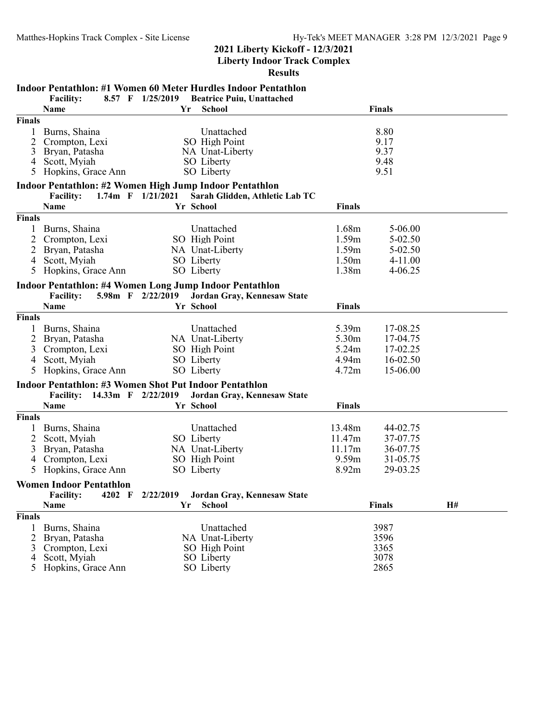**Liberty Indoor Track Complex**

|                                               | <b>Indoor Pentathlon: #1 Women 60 Meter Hurdles Indoor Pentathlon</b>                     |                       |                                                                            |  |                                              |                                                             |    |  |
|-----------------------------------------------|-------------------------------------------------------------------------------------------|-----------------------|----------------------------------------------------------------------------|--|----------------------------------------------|-------------------------------------------------------------|----|--|
|                                               | <b>Facility:</b><br>8.57 F                                                                | 1/25/2019             | <b>Beatrice Puiu, Unattached</b>                                           |  |                                              |                                                             |    |  |
|                                               | Name                                                                                      | Yr                    | School                                                                     |  |                                              | <b>Finals</b>                                               |    |  |
| Finals<br>1<br>2<br>3<br>$\overline{4}$<br>5. | Burns, Shaina<br>Crompton, Lexi<br>Bryan, Patasha<br>Scott, Myiah<br>Hopkins, Grace Ann   |                       | Unattached<br>SO High Point<br>NA Unat-Liberty<br>SO Liberty<br>SO Liberty |  |                                              | 8.80<br>9.17<br>9.37<br>9.48<br>9.51                        |    |  |
|                                               | Indoor Pentathlon: #2 Women High Jump Indoor Pentathlon                                   |                       |                                                                            |  |                                              |                                                             |    |  |
|                                               | <b>Facility:</b>                                                                          | 1.74m $F = 1/21/2021$ | Sarah Glidden, Athletic Lab TC                                             |  |                                              |                                                             |    |  |
|                                               | Name                                                                                      |                       | Yr School                                                                  |  | <b>Finals</b>                                |                                                             |    |  |
| <b>Finals</b>                                 |                                                                                           |                       |                                                                            |  |                                              |                                                             |    |  |
| 1<br>2<br>$\overline{2}$<br>4<br>5            | Burns, Shaina<br>Crompton, Lexi<br>Bryan, Patasha<br>Scott, Myiah<br>Hopkins, Grace Ann   |                       | Unattached<br>SO High Point<br>NA Unat-Liberty<br>SO Liberty<br>SO Liberty |  | 1.68m<br>1.59m<br>1.59m<br>1.50m<br>1.38m    | 5-06.00<br>$5 - 02.50$<br>5-02.50<br>$4 - 11.00$<br>4-06.25 |    |  |
|                                               |                                                                                           |                       |                                                                            |  |                                              |                                                             |    |  |
|                                               | <b>Indoor Pentathlon: #4 Women Long Jump Indoor Pentathlon</b>                            |                       |                                                                            |  |                                              |                                                             |    |  |
|                                               | <b>Facility:</b><br>Name                                                                  | 5.98m F 2/22/2019     | Jordan Gray, Kennesaw State<br>Yr School                                   |  | <b>Finals</b>                                |                                                             |    |  |
| <b>Finals</b>                                 |                                                                                           |                       |                                                                            |  |                                              |                                                             |    |  |
| 1<br>2<br>3<br>4                              | Burns, Shaina<br>Bryan, Patasha<br>Crompton, Lexi<br>Scott, Myiah<br>5 Hopkins, Grace Ann |                       | Unattached<br>NA Unat-Liberty<br>SO High Point<br>SO Liberty<br>SO Liberty |  | 5.39m<br>5.30m<br>5.24m<br>4.94m<br>4.72m    | 17-08.25<br>17-04.75<br>17-02.25<br>16-02.50<br>15-06.00    |    |  |
|                                               | <b>Indoor Pentathlon: #3 Women Shot Put Indoor Pentathlon</b>                             |                       |                                                                            |  |                                              |                                                             |    |  |
|                                               | Facility: 14.33m F 2/22/2019                                                              |                       | Jordan Gray, Kennesaw State                                                |  |                                              |                                                             |    |  |
|                                               | <b>Name</b>                                                                               |                       | Yr School                                                                  |  | <b>Finals</b>                                |                                                             |    |  |
| Finals                                        |                                                                                           |                       |                                                                            |  |                                              |                                                             |    |  |
| 2<br>3<br>4<br>5 <sup>5</sup>                 | Burns, Shaina<br>Scott, Myiah<br>Bryan, Patasha<br>Crompton, Lexi<br>Hopkins, Grace Ann   |                       | Unattached<br>SO Liberty<br>NA Unat-Liberty<br>SO High Point<br>SO Liberty |  | 13.48m<br>11.47m<br>11.17m<br>9.59m<br>8.92m | 44-02.75<br>37-07.75<br>36-07.75<br>31-05.75<br>29-03.25    |    |  |
|                                               | <b>Women Indoor Pentathlon</b>                                                            |                       |                                                                            |  |                                              |                                                             |    |  |
|                                               | <b>Facility:</b><br>4202 F<br>Name                                                        | 2/22/2019<br>Yr       | Jordan Gray, Kennesaw State<br><b>School</b>                               |  |                                              | <b>Finals</b>                                               | H# |  |
| <b>Finals</b>                                 |                                                                                           |                       |                                                                            |  |                                              |                                                             |    |  |
| 1<br>2<br>3<br>4<br>5                         | Burns, Shaina<br>Bryan, Patasha<br>Crompton, Lexi<br>Scott, Myiah<br>Hopkins, Grace Ann   |                       | Unattached<br>NA Unat-Liberty<br>SO High Point<br>SO Liberty<br>SO Liberty |  |                                              | 3987<br>3596<br>3365<br>3078<br>2865                        |    |  |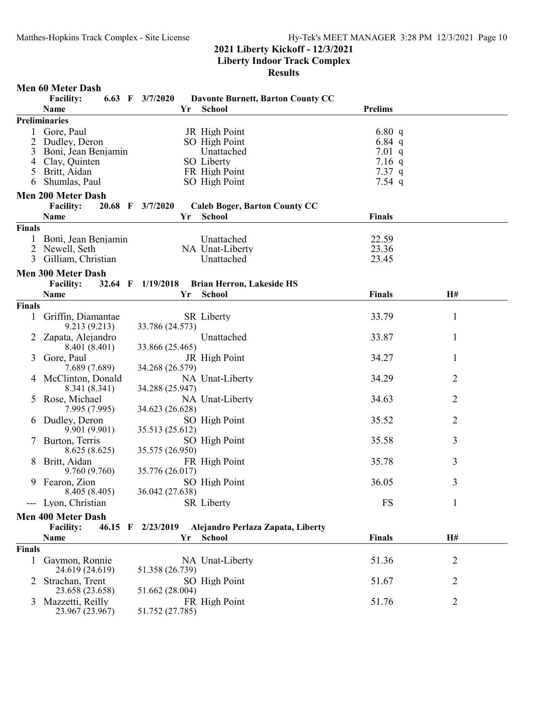|               | <b>Men 60 Meter Dash</b>      |                   |                                          |                |              |
|---------------|-------------------------------|-------------------|------------------------------------------|----------------|--------------|
|               | <b>Facility:</b>              | 6.63 F $3/7/2020$ | <b>Davonte Burnett, Barton County CC</b> |                |              |
|               | <b>Name</b>                   | Yr                | <b>School</b>                            | <b>Prelims</b> |              |
|               | <b>Preliminaries</b>          |                   |                                          |                |              |
|               | 1 Gore, Paul                  |                   | JR High Point                            | 6.80 q         |              |
| 2             | Dudley, Deron                 |                   | SO High Point                            | 6.84 q         |              |
|               | 3 Boni, Jean Benjamin         |                   | Unattached                               | 7.01 q         |              |
|               | 4 Clay, Quinten               |                   | SO Liberty                               | $7.16$ q       |              |
|               | 5 Britt, Aidan                |                   | FR High Point                            | 7.37q          |              |
| 6             | Shumlas, Paul                 |                   | SO High Point                            | 7.54 q         |              |
|               | <b>Men 200 Meter Dash</b>     |                   |                                          |                |              |
|               | <b>Facility:</b>              | 20.68 F 3/7/2020  | <b>Caleb Boger, Barton County CC</b>     |                |              |
|               | Name                          | Yr                | School                                   | <b>Finals</b>  |              |
| <b>Finals</b> |                               |                   |                                          |                |              |
|               | 1 Boni, Jean Benjamin         |                   | Unattached                               | 22.59          |              |
|               | 2 Newell, Seth                |                   | NA Unat-Liberty                          | 23.36          |              |
|               | 3 Gilliam, Christian          |                   | Unattached                               | 23.45          |              |
|               |                               |                   |                                          |                |              |
|               | <b>Men 300 Meter Dash</b>     |                   |                                          |                |              |
|               | <b>Facility:</b>              | 32.64 F 1/19/2018 | <b>Brian Herron, Lakeside HS</b>         |                |              |
|               | <b>Name</b>                   | Yr                | <b>School</b>                            | <b>Finals</b>  | H#           |
| Finals        |                               |                   |                                          |                |              |
| $\mathbf{1}$  | Griffin, Diamantae            |                   | <b>SR</b> Liberty                        | 33.79          | $\mathbf{1}$ |
|               | 9.213(9.213)                  | 33.786 (24.573)   |                                          |                |              |
|               | Zapata, Alejandro             |                   | Unattached                               | 33.87          | 1            |
|               | 8.401 (8.401)                 | 33.866 (25.465)   |                                          |                |              |
| 3             | Gore, Paul                    |                   | JR High Point                            | 34.27          | 1            |
|               | 7.689 (7.689)                 | 34.268 (26.579)   |                                          |                |              |
| 4             | McClinton, Donald             |                   | NA Unat-Liberty                          | 34.29          | 2            |
|               | 8.341 (8.341)                 | 34.288 (25.947)   |                                          |                |              |
| 5.            | Rose, Michael                 |                   | NA Unat-Liberty                          | 34.63          | 2            |
|               | 7.995 (7.995)                 | 34.623 (26.628)   |                                          |                |              |
| 6             | Dudley, Deron                 |                   | SO High Point                            | 35.52          | 2            |
|               | 9.901 (9.901)                 | 35.513 (25.612)   |                                          |                |              |
| $\mathcal{L}$ | Burton, Terris                |                   | SO High Point                            | 35.58          | 3            |
|               | 8.625(8.625)                  | 35.575 (26.950)   |                                          |                |              |
|               |                               |                   |                                          |                |              |
| 8             | Britt, Aidan                  |                   | FR High Point                            | 35.78          | 3            |
|               | 9.760 (9.760)                 | 35.776 (26.017)   |                                          |                |              |
| 9             | Fearon, Zion                  |                   | SO High Point                            | 36.05          | 3            |
|               | 8.405 (8.405)                 | 36.042 (27.638)   |                                          |                |              |
|               | --- Lyon, Christian           |                   | <b>SR</b> Liberty                        | FS             | 1            |
|               | <b>Men 400 Meter Dash</b>     |                   |                                          |                |              |
|               | <b>Facility:</b><br>$46.15$ F | 2/23/2019         | Alejandro Perlaza Zapata, Liberty        |                |              |
|               | Name                          | Yr                | School                                   | <b>Finals</b>  | H#           |
| Finals        |                               |                   |                                          |                |              |
| $\mathbf{1}$  | Gaymon, Ronnie                |                   | NA Unat-Liberty                          | 51.36          | 2            |
|               | 24.619 (24.619)               | 51.358 (26.739)   |                                          |                |              |
|               | Strachan, Trent               |                   | SO High Point                            | 51.67          | 2            |
|               | 23.658 (23.658)               | 51.662 (28.004)   |                                          |                |              |
| 3             | Mazzetti, Reilly              |                   | FR High Point                            | 51.76          | 2            |
|               | 23.967 (23.967)               | 51.752 (27.785)   |                                          |                |              |
|               |                               |                   |                                          |                |              |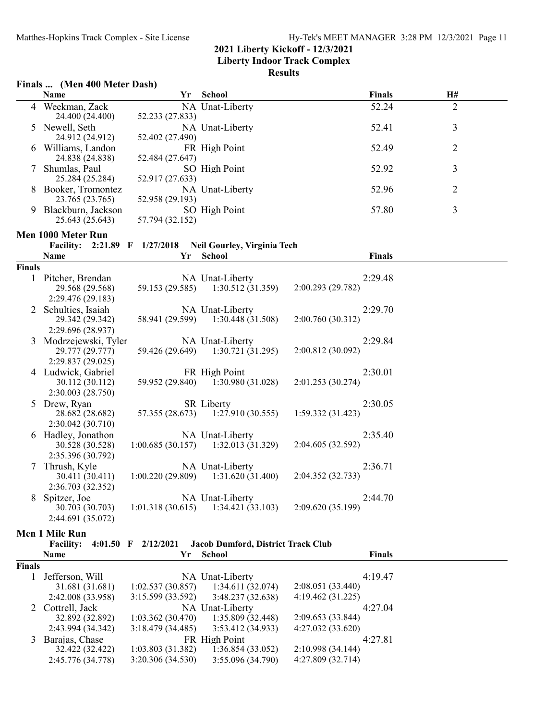**Liberty Indoor Track Complex**

## **Results**

|               | Finals  (Men 400 Meter Dash)                                |                   |                                                           |                              |                |  |  |  |
|---------------|-------------------------------------------------------------|-------------------|-----------------------------------------------------------|------------------------------|----------------|--|--|--|
|               | Name                                                        | Yr                | School                                                    | Finals                       | H#             |  |  |  |
| 4             | Weekman, Zack<br>24.400 (24.400)                            | 52.233 (27.833)   | NA Unat-Liberty                                           | 52.24                        | $\overline{2}$ |  |  |  |
|               | 5 Newell, Seth<br>24.912 (24.912)                           | 52.402 (27.490)   | NA Unat-Liberty                                           | 52.41                        | $\mathfrak{Z}$ |  |  |  |
|               | 6 Williams, Landon<br>24.838 (24.838)                       | 52.484 (27.647)   | FR High Point                                             | 52.49                        | $\overline{2}$ |  |  |  |
|               | Shumlas, Paul<br>25.284 (25.284)                            | 52.917 (27.633)   | SO High Point                                             | 52.92                        | 3              |  |  |  |
|               | 8 Booker, Tromontez<br>23.765 (23.765)                      | 52.958 (29.193)   | NA Unat-Liberty                                           | 52.96                        | 2              |  |  |  |
|               | 9 Blackburn, Jackson<br>25.643 (25.643)                     | 57.794 (32.152)   | SO High Point                                             | 57.80                        | 3              |  |  |  |
|               | Men 1000 Meter Run                                          |                   |                                                           |                              |                |  |  |  |
|               |                                                             |                   | Facility: 2:21.89 F 1/27/2018 Neil Gourley, Virginia Tech |                              |                |  |  |  |
|               | Name                                                        | Yr                | <b>School</b>                                             | <b>Finals</b>                |                |  |  |  |
| <b>Finals</b> |                                                             |                   |                                                           |                              |                |  |  |  |
|               | 1 Pitcher, Brendan<br>29.568 (29.568)<br>2:29.476 (29.183)  | 59.153 (29.585)   | NA Unat-Liberty<br>1:30.512(31.359)                       | 2:29.48<br>2:00.293 (29.782) |                |  |  |  |
|               | 2 Schulties, Isaiah<br>29.342 (29.342)<br>2:29.696 (28.937) | 58.941 (29.599)   | NA Unat-Liberty<br>1:30.448(31.508)                       | 2:29.70<br>2:00.760 (30.312) |                |  |  |  |
| 3             | Modrzejewski, Tyler<br>29.777 (29.777)<br>2:29.837 (29.025) | 59.426 (29.649)   | NA Unat-Liberty<br>1:30.721(31.295)                       | 2:29.84<br>2:00.812 (30.092) |                |  |  |  |
|               | 4 Ludwick, Gabriel<br>30.112 (30.112)<br>2:30.003 (28.750)  |                   | FR High Point<br>59.952 (29.840) 1:30.980 (31.028)        | 2:30.01<br>2:01.253 (30.274) |                |  |  |  |
|               | 5 Drew, Ryan<br>28.682 (28.682)<br>2:30.042 (30.710)        | 57.355 (28.673)   | <b>SR</b> Liberty<br>1:27.910(30.555)                     | 2:30.05<br>1:59.332 (31.423) |                |  |  |  |
|               | 6 Hadley, Jonathon<br>30.528 (30.528)<br>2:35.396 (30.792)  | 1:00.685(30.157)  | NA Unat-Liberty<br>1:32.013(31.329)                       | 2:35.40<br>2:04.605 (32.592) |                |  |  |  |
| 7             | Thrush, Kyle<br>30.411 (30.411)<br>2:36.703 (32.352)        | 1:00.220(29.809)  | NA Unat-Liberty<br>1:31.620(31.400)                       | 2:36.71<br>2:04.352 (32.733) |                |  |  |  |
| 8             | Spitzer, Joe<br>30.703 (30.703)<br>2:44.691 (35.072)        | 1:01.318(30.615)  | NA Unat-Liberty<br>1:34.421(33.103)                       | 2:44.70<br>2:09.620 (35.199) |                |  |  |  |
|               | <b>Men 1 Mile Run</b>                                       |                   |                                                           |                              |                |  |  |  |
|               | <b>Facility:</b><br>$4:01.50$ F                             | 2/12/2021         | Jacob Dumford, District Track Club                        |                              |                |  |  |  |
|               | <b>Name</b>                                                 | Yr                | <b>School</b>                                             | <b>Finals</b>                |                |  |  |  |
| <b>Finals</b> |                                                             |                   |                                                           |                              |                |  |  |  |
| 1             | Jefferson, Will                                             |                   | NA Unat-Liberty                                           | 4:19.47                      |                |  |  |  |
|               | 31.681 (31.681)                                             | 1:02.537(30.857)  | 1:34.611(32.074)                                          | 2:08.051 (33.440)            |                |  |  |  |
|               | 2:42.008 (33.958)                                           | 3:15.599 (33.592) | 3:48.237 (32.638)                                         | 4:19.462 (31.225)            |                |  |  |  |
| 2             | Cottrell, Jack<br>32.892 (32.892)                           | 1:03.362(30.470)  | NA Unat-Liberty<br>1:35.809 (32.448)                      | 4:27.04<br>2:09.653 (33.844) |                |  |  |  |
|               | 2:43.994 (34.342)                                           | 3:18.479 (34.485) | 3:53.412 (34.933)                                         | 4:27.032 (33.620)            |                |  |  |  |
| 3             | Barajas, Chase                                              |                   | FR High Point                                             | 4:27.81                      |                |  |  |  |
|               | 32.422 (32.422)                                             | 1:03.803(31.382)  | 1:36.854(33.052)                                          | 2:10.998 (34.144)            |                |  |  |  |

1:03.803 (31.382) 1:36.854 (33.052) 2:10.998 (34.144)<br>3:20.306 (34.530) 3:55.096 (34.790) 4:27.809 (32.714)

2:45.776 (34.778) 3:20.306 (34.530) 3:55.096 (34.790)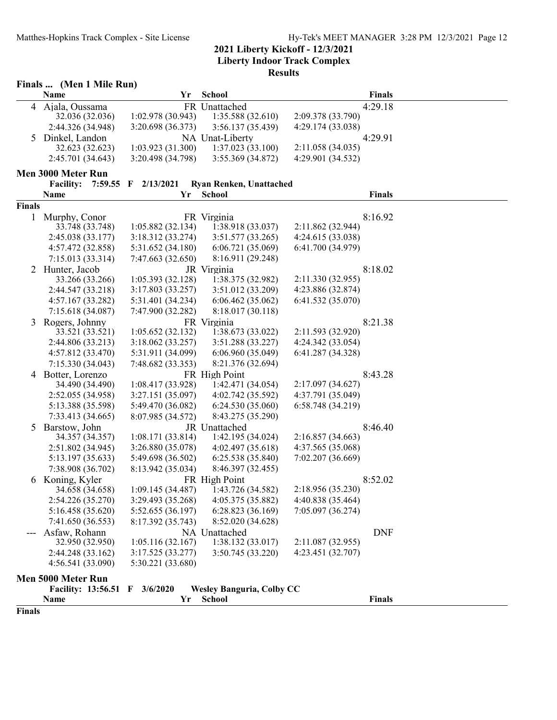|               | Finals  (Men 1 Mile Run)          |                          |                                   |                   |               |  |  |  |
|---------------|-----------------------------------|--------------------------|-----------------------------------|-------------------|---------------|--|--|--|
|               | Name                              | Yr                       | <b>School</b>                     |                   | Finals        |  |  |  |
| 4             | Ajala, Oussama                    |                          | FR Unattached                     |                   | 4:29.18       |  |  |  |
|               | 32.036 (32.036)                   | 1:02.978 (30.943)        | 1:35.588 (32.610)                 | 2:09.378 (33.790) |               |  |  |  |
|               | 2:44.326 (34.948)                 | 3:20.698 (36.373)        | 3:56.137 (35.439)                 | 4:29.174 (33.038) |               |  |  |  |
| 5             | Dinkel, Landon                    |                          | NA Unat-Liberty                   | 4:29.91           |               |  |  |  |
|               | 32.623 (32.623)                   | 1:03.923(31.300)         | 1:37.023(33.100)                  | 2:11.058 (34.035) |               |  |  |  |
|               | 2:45.701 (34.643)                 | 3:20.498 (34.798)        | 3:55.369 (34.872)                 | 4:29.901 (34.532) |               |  |  |  |
|               | Men 3000 Meter Run                |                          |                                   |                   |               |  |  |  |
|               | <b>Facility:</b><br>$7:59.55$ F   | 2/13/2021                | <b>Ryan Renken, Unattached</b>    |                   |               |  |  |  |
|               | Name                              | Yr                       | <b>School</b>                     |                   | <b>Finals</b> |  |  |  |
| <b>Finals</b> |                                   |                          |                                   |                   |               |  |  |  |
| $\mathbf{1}$  | Murphy, Conor                     |                          | FR Virginia                       |                   | 8:16.92       |  |  |  |
|               | 33.748 (33.748)                   | 1:05.882(32.134)         | 1:38.918 (33.037)                 | 2:11.862 (32.944) |               |  |  |  |
|               | 2:45.038 (33.177)                 | 3:18.312 (33.274)        | 3:51.577 (33.265)                 | 4:24.615 (33.038) |               |  |  |  |
|               | 4:57.472 (32.858)                 | 5:31.652 (34.180)        | 6:06.721 (35.069)                 | 6:41.700 (34.979) |               |  |  |  |
|               | 7:15.013 (33.314)                 | 7:47.663 (32.650)        | 8:16.911 (29.248)                 |                   |               |  |  |  |
| 2             | Hunter, Jacob                     |                          | JR Virginia                       |                   | 8:18.02       |  |  |  |
|               | 33.266 (33.266)                   | 1:05.393(32.128)         | 1:38.375 (32.982)                 | 2:11.330 (32.955) |               |  |  |  |
|               | 2:44.547 (33.218)                 | 3:17.803 (33.257)        | 3:51.012 (33.209)                 | 4:23.886 (32.874) |               |  |  |  |
|               | 4:57.167 (33.282)                 | 5:31.401 (34.234)        | 6:06.462(35.062)                  | 6:41.532 (35.070) |               |  |  |  |
|               | 7:15.618 (34.087)                 | 7:47.900 (32.282)        | 8:18.017 (30.118)                 |                   |               |  |  |  |
| 3             | Rogers, Johnny<br>33.521 (33.521) | 1:05.652(32.132)         | FR Virginia<br>1:38.673 (33.022)  | 2:11.593 (32.920) | 8:21.38       |  |  |  |
|               | 2:44.806 (33.213)                 | 3:18.062(33.257)         | 3:51.288 (33.227)                 | 4:24.342 (33.054) |               |  |  |  |
|               | 4:57.812 (33.470)                 | 5:31.911 (34.099)        | 6:06.960 (35.049)                 | 6:41.287 (34.328) |               |  |  |  |
|               | 7:15.330(34.043)                  | 7:48.682 (33.353)        | 8:21.376 (32.694)                 |                   |               |  |  |  |
| 4             | Botter, Lorenzo                   |                          | FR High Point                     |                   | 8:43.28       |  |  |  |
|               | 34.490 (34.490)                   | 1:08.417 (33.928)        | 1:42.471 (34.054)                 | 2:17.097 (34.627) |               |  |  |  |
|               | 2:52.055 (34.958)                 | 3:27.151 (35.097)        | 4:02.742 (35.592)                 | 4:37.791 (35.049) |               |  |  |  |
|               | 5:13.388 (35.598)                 | 5:49.470 (36.082)        | 6:24.530(35.060)                  | 6:58.748 (34.219) |               |  |  |  |
|               | 7:33.413 (34.665)                 | 8:07.985 (34.572)        | 8:43.275 (35.290)                 |                   |               |  |  |  |
| 5             | Barstow, John                     |                          | JR Unattached                     |                   | 8:46.40       |  |  |  |
|               | 34.357 (34.357)                   | 1:08.171(33.814)         | 1:42.195 (34.024)                 | 2:16.857(34.663)  |               |  |  |  |
|               | 2:51.802 (34.945)                 | 3:26.880 (35.078)        | 4:02.497 (35.618)                 | 4:37.565 (35.068) |               |  |  |  |
|               | 5:13.197 (35.633)                 | 5:49.698 (36.502)        | 6:25.538 (35.840)                 | 7:02.207 (36.669) |               |  |  |  |
|               | 7:38.908 (36.702)                 | 8:13.942 (35.034)        | 8:46.397 (32.455)                 |                   |               |  |  |  |
| 6             | Koning, Kyler                     |                          | FR High Point                     |                   | 8:52.02       |  |  |  |
|               | 34.658 (34.658)                   | 1:09.145 (34.487)        | 1:43.726 (34.582)                 | 2:18.956 (35.230) |               |  |  |  |
|               | 2:54.226 (35.270)                 | 3:29.493 (35.268)        | 4:05.375 (35.882)                 | 4:40.838 (35.464) |               |  |  |  |
|               | 5:16.458 (35.620)                 | 5:52.655 (36.197)        | 6:28.823(36.169)                  | 7:05.097 (36.274) |               |  |  |  |
|               | 7:41.650(36.553)                  | 8:17.392 (35.743)        | 8:52.020 (34.628)                 |                   |               |  |  |  |
|               | Asfaw, Rohann<br>32.950 (32.950)  | 1:05.116(32.167)         | NA Unattached<br>1:38.132(33.017) | 2:11.087 (32.955) | <b>DNF</b>    |  |  |  |
|               | 2:44.248 (33.162)                 | 3:17.525(33.277)         | 3:50.745 (33.220)                 | 4:23.451 (32.707) |               |  |  |  |
|               | 4:56.541 (33.090)                 | 5:30.221 (33.680)        |                                   |                   |               |  |  |  |
|               |                                   |                          |                                   |                   |               |  |  |  |
|               | Men 5000 Meter Run                |                          |                                   |                   |               |  |  |  |
|               | <b>Facility: 13:56.51</b>         | 3/6/2020<br>$\mathbf{F}$ | <b>Wesley Banguria, Colby CC</b>  |                   |               |  |  |  |
|               | Name                              | Yr                       | <b>School</b>                     |                   | <b>Finals</b> |  |  |  |
| Finals        |                                   |                          |                                   |                   |               |  |  |  |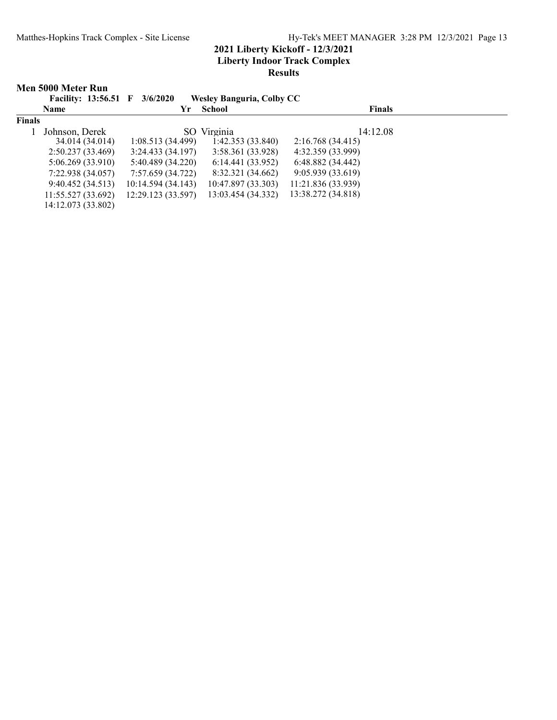|               | Men 5000 Meter Run            |                    |                                  |                    |  |
|---------------|-------------------------------|--------------------|----------------------------------|--------------------|--|
|               | Facility: 13:56.51 F 3/6/2020 |                    | <b>Wesley Banguria, Colby CC</b> |                    |  |
|               | <b>Name</b>                   | Yr                 | School                           | <b>Finals</b>      |  |
| <b>Finals</b> |                               |                    |                                  |                    |  |
|               | Johnson, Derek                |                    | SO Virginia                      | 14:12.08           |  |
|               | 34.014 (34.014)               | 1:08.513(34.499)   | 1:42.353(33.840)                 | 2:16.768 (34.415)  |  |
|               | 2:50.237(33.469)              | 3:24.433(34.197)   | 3:58.361 (33.928)                | 4:32.359 (33.999)  |  |
|               | 5:06.269(33.910)              | 5:40.489 (34.220)  | 6:14.441(33.952)                 | 6:48.882(34.442)   |  |
|               | 7:22.938(34.057)              | 7:57.659 (34.722)  | 8:32.321 (34.662)                | 9:05.939(33.619)   |  |
|               | 9:40.452(34.513)              | 10:14.594 (34.143) | 10:47.897 (33.303)               | 11:21.836 (33.939) |  |
|               | 11:55.527(33.692)             | 12:29.123 (33.597) | 13:03.454 (34.332)               | 13:38.272 (34.818) |  |
|               | 14:12.073 (33.802)            |                    |                                  |                    |  |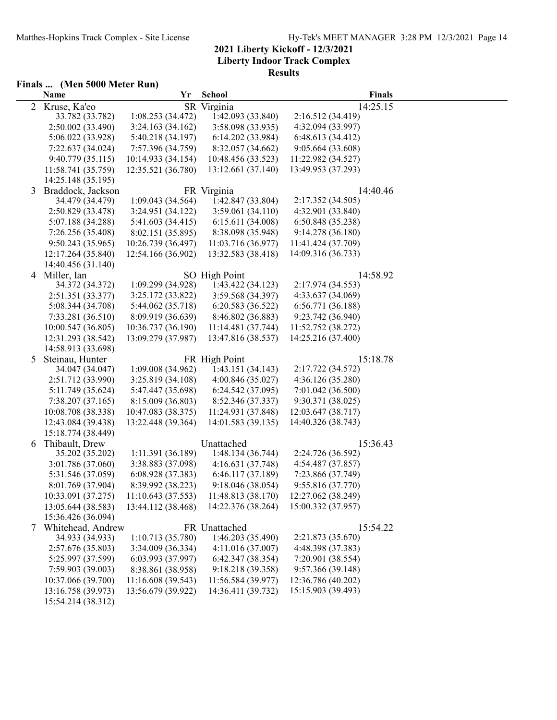|                | Finals  (Men 5000 Meter Run)          |                                         |                    |                                          |          |  |  |  |  |
|----------------|---------------------------------------|-----------------------------------------|--------------------|------------------------------------------|----------|--|--|--|--|
|                | <b>Name</b>                           | Yr                                      | <b>School</b>      |                                          | Finals   |  |  |  |  |
| $\overline{2}$ | Kruse, Ka'eo                          |                                         | SR Virginia        |                                          | 14:25.15 |  |  |  |  |
|                | 33.782 (33.782)                       | 1:08.253(34.472)                        | 1:42.093 (33.840)  | 2:16.512 (34.419)                        |          |  |  |  |  |
|                | 2:50.002 (33.490)                     | 3:24.163(34.162)                        | 3:58.098 (33.935)  | 4:32.094 (33.997)                        |          |  |  |  |  |
|                | 5:06.022 (33.928)                     | 5:40.218 (34.197)                       | 6:14.202 (33.984)  | 6:48.613 (34.412)                        |          |  |  |  |  |
|                | 7:22.637 (34.024)                     | 7:57.396 (34.759)                       | 8:32.057 (34.662)  | 9:05.664 (33.608)                        |          |  |  |  |  |
|                | 9:40.779(35.115)                      | 10:14.933 (34.154)                      | 10:48.456 (33.523) | 11:22.982 (34.527)                       |          |  |  |  |  |
|                | 11:58.741 (35.759)                    | 12:35.521 (36.780)                      | 13:12.661 (37.140) | 13:49.953 (37.293)                       |          |  |  |  |  |
|                | 14:25.148 (35.195)                    |                                         |                    |                                          |          |  |  |  |  |
| 3              | Braddock, Jackson                     |                                         | FR Virginia        |                                          | 14:40.46 |  |  |  |  |
|                | 34.479 (34.479)                       | 1:09.043(34.564)                        | 1:42.847 (33.804)  | 2:17.352 (34.505)                        |          |  |  |  |  |
|                | 2:50.829 (33.478)                     | 3:24.951 (34.122)                       | 3:59.061(34.110)   | 4:32.901 (33.840)                        |          |  |  |  |  |
|                | 5:07.188 (34.288)                     | 5:41.603 (34.415)                       | 6:15.611 (34.008)  | 6:50.848 (35.238)                        |          |  |  |  |  |
|                | 7:26.256 (35.408)                     | 8:02.151 (35.895)                       | 8:38.098 (35.948)  | 9:14.278 (36.180)                        |          |  |  |  |  |
|                | 9:50.243(35.965)                      | 10:26.739 (36.497)                      | 11:03.716 (36.977) | 11:41.424 (37.709)                       |          |  |  |  |  |
|                | 12:17.264 (35.840)                    | 12:54.166 (36.902)                      | 13:32.583 (38.418) | 14:09.316 (36.733)                       |          |  |  |  |  |
|                | 14:40.456 (31.140)                    |                                         |                    |                                          |          |  |  |  |  |
|                | 4 Miller, Ian                         |                                         | SO High Point      |                                          | 14:58.92 |  |  |  |  |
|                | 34.372 (34.372)                       | 1:09.299(34.928)                        | 1:43.422 (34.123)  | 2:17.974 (34.553)                        |          |  |  |  |  |
|                | 2:51.351 (33.377)                     | 3:25.172 (33.822)                       | 3:59.568 (34.397)  | 4:33.637 (34.069)                        |          |  |  |  |  |
|                | 5:08.344 (34.708)                     | 5:44.062 (35.718)                       | 6:20.583 (36.522)  | 6:56.771 (36.188)                        |          |  |  |  |  |
|                | 7:33.281 (36.510)                     | 8:09.919 (36.639)<br>10:36.737 (36.190) | 8:46.802 (36.883)  | 9:23.742 (36.940)                        |          |  |  |  |  |
|                | 10:00.547 (36.805)                    | 13:09.279 (37.987)                      | 11:14.481 (37.744) | 11:52.752 (38.272)<br>14:25.216 (37.400) |          |  |  |  |  |
|                | 12:31.293 (38.542)                    |                                         | 13:47.816 (38.537) |                                          |          |  |  |  |  |
| 5              | 14:58.913 (33.698)<br>Steinau, Hunter |                                         | FR High Point      |                                          | 15:18.78 |  |  |  |  |
|                | 34.047 (34.047)                       | 1:09.008(34.962)                        | 1:43.151 (34.143)  | 2:17.722 (34.572)                        |          |  |  |  |  |
|                | 2:51.712 (33.990)                     | 3:25.819 (34.108)                       | 4:00.846 (35.027)  | 4:36.126 (35.280)                        |          |  |  |  |  |
|                | 5:11.749 (35.624)                     | 5:47.447 (35.698)                       | 6:24.542 (37.095)  | 7:01.042 (36.500)                        |          |  |  |  |  |
|                | 7:38.207 (37.165)                     | 8:15.009 (36.803)                       | 8:52.346 (37.337)  | 9:30.371 (38.025)                        |          |  |  |  |  |
|                | 10:08.708 (38.338)                    | 10:47.083 (38.375)                      | 11:24.931 (37.848) | 12:03.647 (38.717)                       |          |  |  |  |  |
|                | 12:43.084 (39.438)                    | 13:22.448 (39.364)                      | 14:01.583 (39.135) | 14:40.326 (38.743)                       |          |  |  |  |  |
|                | 15:18.774 (38.449)                    |                                         |                    |                                          |          |  |  |  |  |
| 6              | Thibault, Drew                        |                                         | Unattached         |                                          | 15:36.43 |  |  |  |  |
|                | 35.202 (35.202)                       | 1:11.391 (36.189)                       | 1:48.134 (36.744)  | 2:24.726 (36.592)                        |          |  |  |  |  |
|                | 3:01.786 (37.060)                     | 3:38.883 (37.098)                       | 4:16.631(37.748)   | 4:54.487 (37.857)                        |          |  |  |  |  |
|                | 5:31.546 (37.059)                     | 6:08.928 (37.383)                       | 6:46.117 (37.189)  | 7:23.866 (37.749)                        |          |  |  |  |  |
|                | 8:01.769 (37.904)                     | 8:39.992 (38.223)                       | 9:18.046 (38.054)  | 9:55.816 (37.770)                        |          |  |  |  |  |
|                | 10:33.091 (37.275)                    | 11:10.643 (37.553)                      | 11:48.813 (38.170) | 12:27.062 (38.249)                       |          |  |  |  |  |
|                | 13:05.644 (38.583)                    | 13:44.112 (38.468)                      | 14:22.376 (38.264) | 15:00.332 (37.957)                       |          |  |  |  |  |
|                | 15:36.426 (36.094)                    |                                         |                    |                                          |          |  |  |  |  |
| 7              | Whitehead, Andrew                     |                                         | FR Unattached      |                                          | 15:54.22 |  |  |  |  |
|                | 34.933 (34.933)                       | 1:10.713(35.780)                        | 1:46.203 (35.490)  | 2:21.873 (35.670)                        |          |  |  |  |  |
|                | 2:57.676 (35.803)                     | 3:34.009 (36.334)                       | 4:11.016 (37.007)  | 4:48.398 (37.383)                        |          |  |  |  |  |
|                | 5:25.997 (37.599)                     | 6:03.993(37.997)                        | 6:42.347 (38.354)  | 7:20.901 (38.554)                        |          |  |  |  |  |
|                | 7:59.903 (39.003)                     | 8:38.861 (38.958)                       | 9:18.218 (39.358)  | 9:57.366 (39.148)                        |          |  |  |  |  |
|                | 10:37.066 (39.700)                    | 11:16.608 (39.543)                      | 11:56.584 (39.977) | 12:36.786 (40.202)                       |          |  |  |  |  |
|                | 13:16.758 (39.973)                    | 13:56.679 (39.922)                      | 14:36.411 (39.732) | 15:15.903 (39.493)                       |          |  |  |  |  |
|                | 15:54.214 (38.312)                    |                                         |                    |                                          |          |  |  |  |  |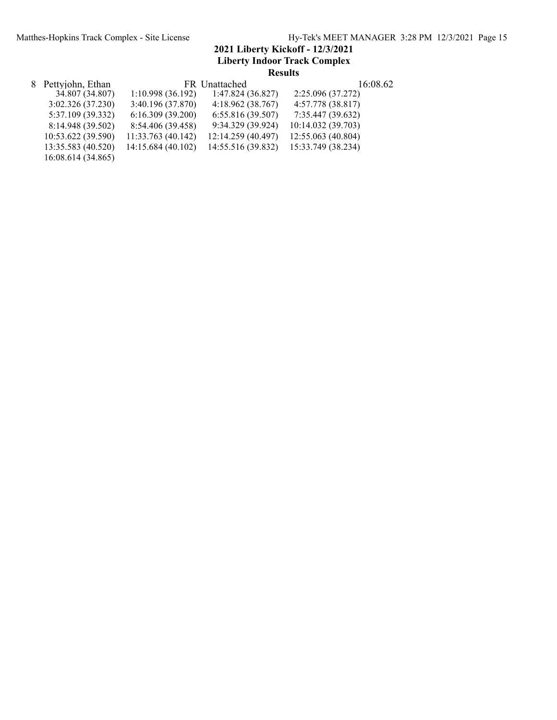| 8 Pettyjohn, Ethan |                    | FR Unattached      | 16:08.62           |  |
|--------------------|--------------------|--------------------|--------------------|--|
| 34.807 (34.807)    | 1:10.998(36.192)   | 1:47.824(36.827)   | 2:25.096 (37.272)  |  |
| 3:02.326(37.230)   | 3:40.196 (37.870)  | 4:18.962(38.767)   | 4:57.778 (38.817)  |  |
| 5:37.109 (39.332)  | 6:16.309(39.200)   | 6:55.816(39.507)   | 7:35.447 (39.632)  |  |
| 8:14.948 (39.502)  | 8:54.406 (39.458)  | 9:34.329 (39.924)  | 10:14.032 (39.703) |  |
| 10:53.622 (39.590) | 11:33.763 (40.142) | 12:14.259 (40.497) | 12:55.063 (40.804) |  |
| 13:35.583 (40.520) | 14:15.684 (40.102) | 14:55.516 (39.832) | 15:33.749 (38.234) |  |
| 16:08.614 (34.865) |                    |                    |                    |  |
|                    |                    |                    |                    |  |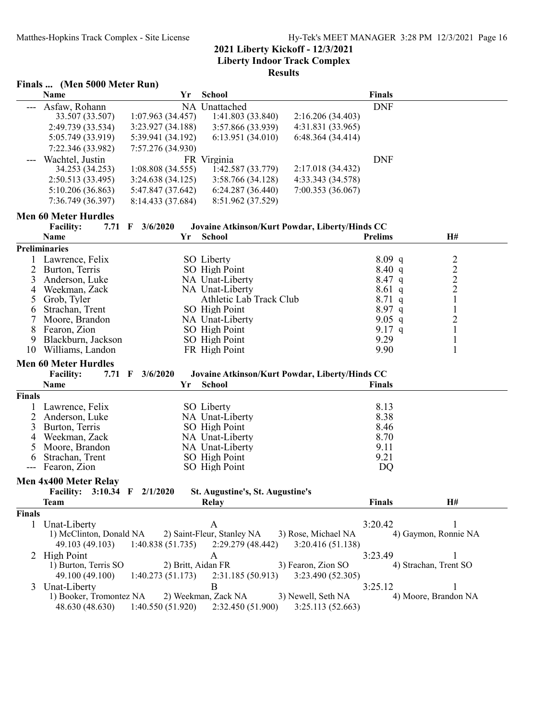|               | Finals  (Men 5000 Meter Run)              |                             |                                                |                     |                |                                            |
|---------------|-------------------------------------------|-----------------------------|------------------------------------------------|---------------------|----------------|--------------------------------------------|
|               | Name                                      | Yr                          | School                                         |                     | <b>Finals</b>  |                                            |
| ---           | Asfaw, Rohann                             |                             | NA Unattached                                  |                     | <b>DNF</b>     |                                            |
|               | 33.507 (33.507)                           | 1:07.963(34.457)            | 1:41.803 (33.840)                              | 2:16.206 (34.403)   |                |                                            |
|               | 2:49.739 (33.534)                         | 3:23.927 (34.188)           | 3:57.866 (33.939)                              | 4:31.831 (33.965)   |                |                                            |
|               | 5:05.749 (33.919)                         | 5:39.941 (34.192)           | 6:13.951 (34.010)                              | 6:48.364 (34.414)   |                |                                            |
|               | 7:22.346 (33.982)                         | 7:57.276 (34.930)           |                                                |                     |                |                                            |
|               | Wachtel, Justin                           |                             | FR Virginia                                    |                     | <b>DNF</b>     |                                            |
|               | 34.253 (34.253)                           | 1:08.808(34.555)            | 1:42.587 (33.779)                              | 2:17.018 (34.432)   |                |                                            |
|               | 2:50.513 (33.495)                         | 3:24.638(34.125)            | 3:58.766 (34.128)                              | 4:33.343 (34.578)   |                |                                            |
|               | 5:10.206 (36.863)                         | 5:47.847 (37.642)           | 6:24.287(36.440)                               | 7:00.353(36.067)    |                |                                            |
|               | 7:36.749 (36.397)                         | 8:14.433 (37.684)           | 8:51.962 (37.529)                              |                     |                |                                            |
|               |                                           |                             |                                                |                     |                |                                            |
|               | <b>Men 60 Meter Hurdles</b>               |                             |                                                |                     |                |                                            |
|               | <b>Facility:</b><br>$7.71 \quad \text{F}$ | 3/6/2020                    | Jovaine Atkinson/Kurt Powdar, Liberty/Hinds CC |                     |                |                                            |
|               | Name                                      | Yr                          | <b>School</b>                                  |                     | <b>Prelims</b> | H#                                         |
|               | <b>Preliminaries</b>                      |                             |                                                |                     |                |                                            |
|               | Lawrence, Felix                           |                             | SO Liberty                                     |                     | $8.09$ q       |                                            |
| 2             | Burton, Terris                            |                             | SO High Point                                  |                     | 8.40 q         | $\begin{array}{c} 2 \\ 2 \\ 2 \end{array}$ |
| 3             | Anderson, Luke                            |                             | NA Unat-Liberty                                |                     | $8.47$ q       |                                            |
| 4             | Weekman, Zack                             |                             | NA Unat-Liberty                                |                     | 8.61q          |                                            |
| 5             | Grob, Tyler                               |                             | Athletic Lab Track Club                        |                     | 8.71q          | $\mathbf{1}$                               |
| 6             | Strachan, Trent                           |                             | SO High Point                                  |                     | 8.97 q         | 1                                          |
| 7             | Moore, Brandon                            |                             | NA Unat-Liberty                                |                     | $9.05$ q       | $\overline{c}$                             |
| 8             | Fearon, Zion                              |                             | SO High Point                                  |                     | 9.17 q         | $\mathbf{1}$                               |
| 9             | Blackburn, Jackson                        |                             | SO High Point                                  |                     | 9.29           | $\mathbf{1}$                               |
| 10            | Williams, Landon                          |                             | FR High Point                                  |                     | 9.90           | 1                                          |
|               | <b>Men 60 Meter Hurdles</b>               |                             |                                                |                     |                |                                            |
|               | <b>Facility:</b><br>7.71 F                | 3/6/2020                    | Jovaine Atkinson/Kurt Powdar, Liberty/Hinds CC |                     |                |                                            |
|               | Name                                      | Yr                          | <b>School</b>                                  |                     | <b>Finals</b>  |                                            |
| Finals        |                                           |                             |                                                |                     |                |                                            |
| 1             | Lawrence, Felix                           |                             | SO Liberty                                     |                     | 8.13           |                                            |
| 2             | Anderson, Luke                            |                             | NA Unat-Liberty                                |                     | 8.38           |                                            |
| 3             | Burton, Terris                            |                             | SO High Point                                  |                     | 8.46           |                                            |
| 4             | Weekman, Zack                             |                             | NA Unat-Liberty                                |                     | 8.70           |                                            |
| 5             | Moore, Brandon                            |                             | NA Unat-Liberty                                |                     | 9.11           |                                            |
| 6             | Strachan, Trent                           |                             | SO High Point                                  |                     | 9.21           |                                            |
|               | Fearon, Zion                              |                             | SO High Point                                  |                     | DQ             |                                            |
|               | Men 4x400 Meter Relay                     |                             |                                                |                     |                |                                            |
|               | <b>Facility:</b>                          | 3:10.34 $\text{F}$ 2/1/2020 | St. Augustine's, St. Augustine's               |                     |                |                                            |
|               | <b>Team</b>                               |                             | Relay                                          |                     | <b>Finals</b>  | H#                                         |
| <b>Finals</b> |                                           |                             |                                                |                     |                |                                            |
|               | 1 Unat-Liberty                            |                             | $\mathbf{A}$                                   |                     | 3:20.42        | 1                                          |
|               | 1) McClinton, Donald NA                   |                             | 2) Saint-Fleur, Stanley NA                     | 3) Rose, Michael NA |                | 4) Gaymon, Ronnie NA                       |
|               | 49.103 (49.103)                           | 1:40.838(51.735)            | 2:29.279 (48.442)                              | 3:20.416(51.138)    |                |                                            |
|               |                                           |                             |                                                |                     |                |                                            |
| 2             | <b>High Point</b>                         |                             | A                                              |                     | 3:23.49        | 1                                          |
|               | 1) Burton, Terris SO                      | 2) Britt, Aidan FR          |                                                | 3) Fearon, Zion SO  |                | 4) Strachan, Trent SO                      |
|               | 49.100 (49.100)                           | 1:40.273(51.173)            | 2:31.185(50.913)                               | 3:23.490 (52.305)   |                |                                            |
| 3             | Unat-Liberty                              |                             | B                                              |                     | 3:25.12        |                                            |
|               | 1) Booker, Tromontez NA                   |                             | 2) Weekman, Zack NA                            | 3) Newell, Seth NA  |                | 4) Moore, Brandon NA                       |
|               | 48.630 (48.630)                           | 1:40.550(51.920)            | 2:32.450 (51.900)                              | 3:25.113 (52.663)   |                |                                            |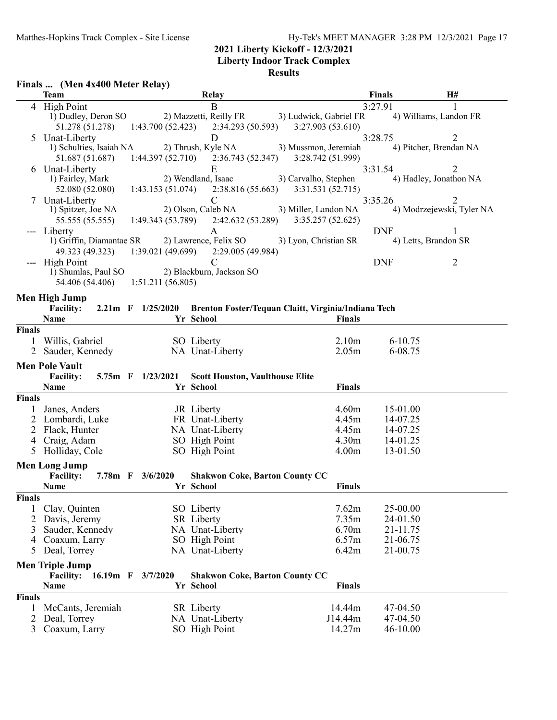#### **Liberty Indoor Track Complex**

|               | Finals  (Men 4x400 Meter Relay)   |                   |                                                     |                                                                                  |                        |                           |
|---------------|-----------------------------------|-------------------|-----------------------------------------------------|----------------------------------------------------------------------------------|------------------------|---------------------------|
|               | <b>Team</b>                       |                   | <b>Relay</b>                                        |                                                                                  | Finals                 | H#                        |
|               | 4 High Point                      |                   | B                                                   |                                                                                  | 3:27.91                |                           |
|               | 1) Dudley, Deron SO               |                   |                                                     | 2) Mazzetti, Reilly FR 3) Ludwick, Gabriel FR                                    |                        | 4) Williams, Landon FR    |
|               | 51.278 (51.278)                   | 1:43.700 (52.423) | 2:34.293 (50.593)                                   | 3:27.903 (53.610)                                                                |                        |                           |
| 5             | Unat-Liberty                      |                   | D                                                   |                                                                                  | 3:28.75                | $\overline{2}$            |
|               | 1) Schulties, Isaiah NA           |                   | 2) Thrush, Kyle NA                                  | 3) Mussmon, Jeremiah<br>$1:44.397(52.710)$ $2:36.743(52.347)$ $3:28.742(51.999)$ |                        | 4) Pitcher, Brendan NA    |
|               | 51.687 (51.687)<br>6 Unat-Liberty |                   | E                                                   |                                                                                  | 3:31.54                | 2                         |
|               | 1) Fairley, Mark                  |                   | 2) Wendland, Isaac                                  | 3) Carvalho, Stephen                                                             |                        | 4) Hadley, Jonathon NA    |
|               | 52.080 (52.080)                   |                   | $1:43.153(51.074)$ $2:38.816(55.663)$               | 3:31.531(52.715)                                                                 |                        |                           |
|               | 7 Unat-Liberty                    |                   | $\mathcal{C}$                                       |                                                                                  | 3:35.26                | 2                         |
|               | 1) Spitzer, Joe NA                |                   | 2) Olson, Caleb NA                                  | 3) Miller, Landon NA                                                             |                        | 4) Modrzejewski, Tyler NA |
|               | 55.555 (55.555)                   |                   |                                                     | $1:49.343(53.789)$ $2:42.632(53.289)$ $3:35.257(52.625)$                         |                        |                           |
|               | --- Liberty                       |                   | A                                                   |                                                                                  | <b>DNF</b>             | 1                         |
|               | 1) Griffin, Diamantae SR          |                   |                                                     | 2) Lawrence, Felix SO 3) Lyon, Christian SR                                      |                        | 4) Letts, Brandon SR      |
|               |                                   |                   | 49.323 (49.323) 1:39.021 (49.699) 2:29.005 (49.984) |                                                                                  |                        |                           |
|               | --- High Point                    |                   | $\mathcal{C}$                                       |                                                                                  | <b>DNF</b>             | 2                         |
|               | 1) Shumlas, Paul SO               |                   | 2) Blackburn, Jackson SO                            |                                                                                  |                        |                           |
|               | 54.406 (54.406) 1:51.211 (56.805) |                   |                                                     |                                                                                  |                        |                           |
|               | Men High Jump                     |                   |                                                     |                                                                                  |                        |                           |
|               | <b>Facility:</b>                  | 2.21m F 1/25/2020 |                                                     | Brenton Foster/Tequan Claitt, Virginia/Indiana Tech                              |                        |                           |
|               | Name                              |                   | Yr School                                           | <b>Finals</b>                                                                    |                        |                           |
| <b>Finals</b> |                                   |                   |                                                     |                                                                                  |                        |                           |
|               | Willis, Gabriel                   |                   | SO Liberty<br>NA Unat-Liberty                       | 2.10 <sub>m</sub><br>2.05m                                                       | $6 - 10.75$<br>6-08.75 |                           |
|               | 2 Sauder, Kennedy                 |                   |                                                     |                                                                                  |                        |                           |
|               | <b>Men Pole Vault</b>             |                   |                                                     |                                                                                  |                        |                           |
|               | <b>Facility:</b>                  | 5.75m F 1/23/2021 | <b>Scott Houston, Vaulthouse Elite</b>              |                                                                                  |                        |                           |
| <b>Finals</b> | Name                              |                   | Yr School                                           | <b>Finals</b>                                                                    |                        |                           |
|               | Janes, Anders                     |                   | JR Liberty                                          | 4.60m                                                                            | 15-01.00               |                           |
| 2             | Lombardi, Luke                    |                   | FR Unat-Liberty                                     | 4.45m                                                                            | 14-07.25               |                           |
|               | 2 Flack, Hunter                   |                   | NA Unat-Liberty                                     | 4.45m                                                                            | 14-07.25               |                           |
|               | 4 Craig, Adam                     |                   | SO High Point                                       | 4.30 <sub>m</sub>                                                                | 14-01.25               |                           |
|               | 5 Holliday, Cole                  |                   | SO High Point                                       | 4.00 <sub>m</sub>                                                                | 13-01.50               |                           |
|               | <b>Men Long Jump</b>              |                   |                                                     |                                                                                  |                        |                           |
|               | <b>Facility:</b>                  | 7.78m F 3/6/2020  | <b>Shakwon Coke, Barton County CC</b>               |                                                                                  |                        |                           |
|               | Name                              |                   | Yr School                                           | Finals                                                                           |                        |                           |
| Finals        |                                   |                   |                                                     |                                                                                  |                        |                           |
|               | Clay, Quinten                     |                   | SO Liberty                                          | 7.62m                                                                            | 25-00.00               |                           |
| 2             | Davis, Jeremy                     |                   | SR Liberty                                          | 7.35m                                                                            | 24-01.50               |                           |
| 3             | Sauder, Kennedy                   |                   | NA Unat-Liberty                                     | 6.70m                                                                            | 21-11.75               |                           |
| 4             | Coaxum, Larry                     |                   | SO High Point                                       | 6.57m                                                                            | 21-06.75               |                           |
| 5             | Deal, Torrey                      |                   | NA Unat-Liberty                                     | 6.42m                                                                            | 21-00.75               |                           |
|               | <b>Men Triple Jump</b>            |                   |                                                     |                                                                                  |                        |                           |
|               | $16.19m$ F<br><b>Facility:</b>    | 3/7/2020          | <b>Shakwon Coke, Barton County CC</b>               |                                                                                  |                        |                           |
|               | Name                              |                   | Yr School                                           | <b>Finals</b>                                                                    |                        |                           |
| <b>Finals</b> |                                   |                   |                                                     |                                                                                  |                        |                           |
|               | McCants, Jeremiah                 |                   | <b>SR</b> Liberty                                   | 14.44m                                                                           | 47-04.50               |                           |
| 2             | Deal, Torrey                      |                   | NA Unat-Liberty                                     | J14.44m                                                                          | 47-04.50               |                           |
| 3             | Coaxum, Larry                     |                   | SO High Point                                       | 14.27m                                                                           | 46-10.00               |                           |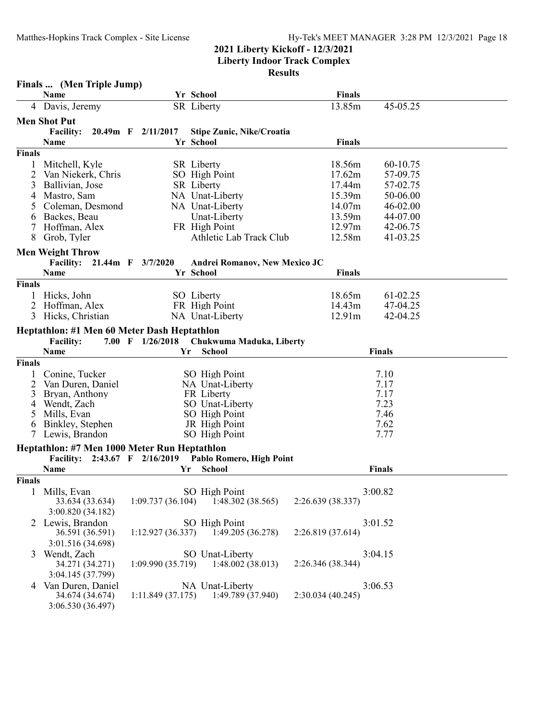**Liberty Indoor Track Complex Results**

|               | Finals  (Men Triple Jump)                    |                    |                                  |                              |  |
|---------------|----------------------------------------------|--------------------|----------------------------------|------------------------------|--|
|               | Name                                         |                    | Yr School                        | <b>Finals</b>                |  |
|               | 4 Davis, Jeremy                              |                    | SR Liberty                       | 13.85m<br>45-05.25           |  |
|               | <b>Men Shot Put</b>                          |                    |                                  |                              |  |
|               | <b>Facility:</b>                             | 20.49m F 2/11/2017 | <b>Stipe Zunic, Nike/Croatia</b> |                              |  |
|               | Name                                         |                    | Yr School                        | <b>Finals</b>                |  |
| <b>Finals</b> |                                              |                    |                                  |                              |  |
| 1             | Mitchell, Kyle                               |                    | <b>SR</b> Liberty                | 18.56m<br>60-10.75           |  |
| 2             | Van Niekerk, Chris                           |                    | SO High Point                    | 17.62m<br>57-09.75           |  |
| 3             | Ballivian, Jose                              |                    | <b>SR</b> Liberty                | 17.44m<br>57-02.75           |  |
| 4             | Mastro, Sam                                  |                    | NA Unat-Liberty                  | 15.39m<br>50-06.00           |  |
| 5             | Coleman, Desmond                             |                    | NA Unat-Liberty                  | 14.07m<br>46-02.00           |  |
| 6             | Backes, Beau                                 |                    | Unat-Liberty                     | 13.59m<br>44-07.00           |  |
| 7             | Hoffman, Alex                                |                    | FR High Point                    | 12.97m<br>42-06.75           |  |
| 8             | Grob, Tyler                                  |                    | Athletic Lab Track Club          | 12.58m<br>41-03.25           |  |
|               | <b>Men Weight Throw</b>                      |                    |                                  |                              |  |
|               | Facility: 21.44m F 3/7/2020                  |                    | Andrei Romanov, New Mexico JC    |                              |  |
|               | <b>Name</b>                                  |                    | Yr School                        | <b>Finals</b>                |  |
| <b>Finals</b> |                                              |                    |                                  |                              |  |
|               | Hicks, John                                  |                    | SO Liberty                       | 18.65m<br>61-02.25           |  |
| 2             | Hoffman, Alex                                |                    | FR High Point                    | 14.43m<br>47-04.25           |  |
| 3             | Hicks, Christian                             |                    | NA Unat-Liberty                  | 12.91m<br>42-04.25           |  |
|               | Heptathlon: #1 Men 60 Meter Dash Heptathlon  |                    |                                  |                              |  |
|               | <b>Facility:</b>                             | 7.00 F $1/26/2018$ | Chukwuma Maduka, Liberty         |                              |  |
|               | Name                                         | Yr                 | <b>School</b>                    | <b>Finals</b>                |  |
| <b>Finals</b> |                                              |                    |                                  |                              |  |
| 1             | Conine, Tucker                               |                    | SO High Point                    | 7.10                         |  |
| 2             | Van Duren, Daniel                            |                    | NA Unat-Liberty                  | 7.17                         |  |
| 3             | Bryan, Anthony                               |                    | FR Liberty                       | 7.17                         |  |
| 4             | Wendt, Zach                                  |                    | SO Unat-Liberty                  | 7.23                         |  |
| 5             | Mills, Evan                                  |                    | SO High Point                    | 7.46                         |  |
| 6<br>7        | Binkley, Stephen<br>Lewis, Brandon           |                    | JR High Point<br>SO High Point   | 7.62<br>7.77                 |  |
|               |                                              |                    |                                  |                              |  |
|               | Heptathlon: #7 Men 1000 Meter Run Heptathlon |                    |                                  |                              |  |
|               | Facility: 2:43.67 F 2/16/2019                | Yr                 | Pablo Romero, High Point         |                              |  |
|               | Name                                         |                    | <b>School</b>                    | <b>Finals</b>                |  |
| Finals        |                                              |                    |                                  |                              |  |
|               | Mills, Evan<br>33.634 (33.634)               | 1:09.737(36.104)   | SO High Point                    | 3:00.82<br>2:26.639 (38.337) |  |
|               |                                              |                    | 1:48.302(38.565)                 |                              |  |
|               | 3:00.820 (34.182)                            |                    |                                  |                              |  |
|               | 2 Lewis, Brandon                             |                    | SO High Point                    | 3:01.52                      |  |
|               | 36.591 (36.591)                              | 1:12.927(36.337)   | 1:49.205(36.278)                 | 2:26.819 (37.614)            |  |
|               | 3:01.516 (34.698)                            |                    |                                  |                              |  |
| 3             | Wendt, Zach                                  |                    | SO Unat-Liberty                  | 3:04.15<br>2:26.346 (38.344) |  |
|               | 34.271 (34.271)                              | 1:09.990 (35.719)  | 1:48.002 (38.013)                |                              |  |
|               | 3:04.145 (37.799)                            |                    |                                  |                              |  |
|               | 4 Van Duren, Daniel                          |                    | NA Unat-Liberty                  | 3:06.53                      |  |

3:06.530 (36.497)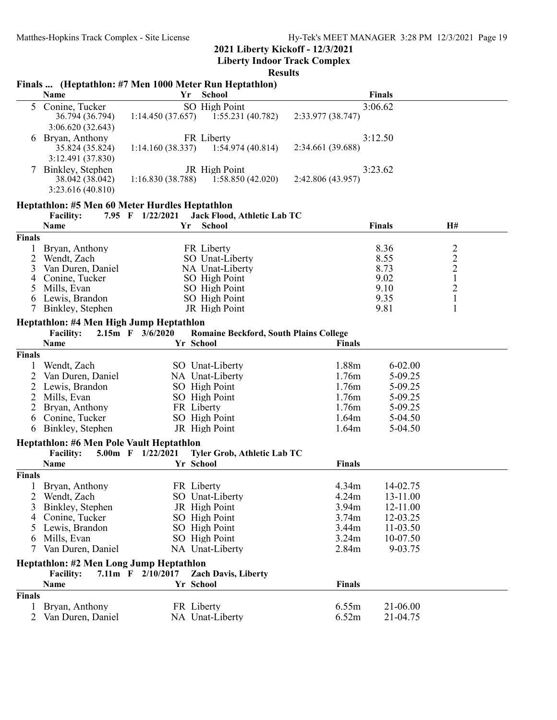**Liberty Indoor Track Complex**

|                | Name                                           | Yr                | Finals  (Heptathlon: #7 Men 1000 Meter Run Heptathlon)<br><b>School</b> |                   | <b>Finals</b> |               |
|----------------|------------------------------------------------|-------------------|-------------------------------------------------------------------------|-------------------|---------------|---------------|
|                |                                                |                   |                                                                         |                   |               |               |
| 5              | Conine, Tucker                                 |                   | SO High Point                                                           |                   | 3:06.62       |               |
|                | 36.794 (36.794)                                | 1:14.450(37.657)  | 1:55.231(40.782)                                                        | 2:33.977 (38.747) |               |               |
|                | 3:06.620(32.643)                               |                   |                                                                         |                   |               |               |
| 6              | Bryan, Anthony                                 |                   | FR Liberty                                                              |                   | 3:12.50       |               |
|                | 35.824 (35.824)                                | 1:14.160(38.337)  | 1:54.974(40.814)                                                        | 2:34.661 (39.688) |               |               |
|                | 3:12.491 (37.830)                              |                   |                                                                         |                   |               |               |
|                | Binkley, Stephen                               |                   | JR High Point                                                           |                   | 3:23.62       |               |
|                | 38.042 (38.042)                                | 1:16.830(38.788)  | 1:58.850(42.020)                                                        | 2:42.806 (43.957) |               |               |
|                | 3:23.616 (40.810)                              |                   |                                                                         |                   |               |               |
|                | Heptathlon: #5 Men 60 Meter Hurdles Heptathlon |                   |                                                                         |                   |               |               |
|                | <b>Facility:</b>                               | 7.95 F 1/22/2021  | Jack Flood, Athletic Lab TC                                             |                   |               |               |
|                | Name                                           | Yr                | School                                                                  |                   | <b>Finals</b> | H#            |
| Finals         |                                                |                   |                                                                         |                   |               |               |
| 1              | Bryan, Anthony                                 |                   | FR Liberty                                                              |                   | 8.36          |               |
| $\overline{2}$ | Wendt, Zach                                    |                   | SO Unat-Liberty                                                         |                   | 8.55          | $\frac{2}{2}$ |
| 3              | Van Duren, Daniel                              |                   | NA Unat-Liberty                                                         |                   | 8.73          |               |
| 4              | Conine, Tucker                                 |                   | SO High Point                                                           |                   | 9.02          | $\mathbf 1$   |
| 5              | Mills, Evan                                    |                   | SO High Point                                                           |                   | 9.10          |               |
| 6              | Lewis, Brandon                                 |                   | SO High Point                                                           |                   | 9.35          | $\frac{2}{1}$ |
| 7              | Binkley, Stephen                               |                   | JR High Point                                                           |                   | 9.81          | $\mathbf{1}$  |
|                |                                                |                   |                                                                         |                   |               |               |
|                | Heptathlon: #4 Men High Jump Heptathlon        |                   |                                                                         |                   |               |               |
|                | <b>Facility:</b>                               | 2.15m F 3/6/2020  | <b>Romaine Beckford, South Plains College</b>                           |                   |               |               |
|                | Name                                           |                   | Yr School                                                               | <b>Finals</b>     |               |               |
| Finals         |                                                |                   |                                                                         |                   |               |               |
|                | Wendt, Zach                                    |                   | SO Unat-Liberty                                                         | 1.88m             | $6 - 02.00$   |               |
| 2              | Van Duren, Daniel                              |                   | NA Unat-Liberty                                                         | 1.76m             | 5-09.25       |               |
| $\overline{2}$ | Lewis, Brandon                                 |                   | SO High Point                                                           | 1.76m             | 5-09.25       |               |
| $\overline{2}$ | Mills, Evan                                    |                   | SO High Point                                                           | 1.76m             | 5-09.25       |               |
| $\overline{2}$ | Bryan, Anthony                                 |                   | FR Liberty                                                              | 1.76m             | 5-09.25       |               |
| 6              | Conine, Tucker                                 |                   | SO High Point                                                           | 1.64m             | 5-04.50       |               |
| 6              | Binkley, Stephen                               |                   | JR High Point                                                           | 1.64m             | 5-04.50       |               |
|                | Heptathlon: #6 Men Pole Vault Heptathlon       |                   |                                                                         |                   |               |               |
|                | <b>Facility:</b>                               | 5.00m F 1/22/2021 | Tyler Grob, Athletic Lab TC                                             |                   |               |               |
|                | Name                                           |                   | Yr School                                                               | <b>Finals</b>     |               |               |
| Finals         |                                                |                   |                                                                         |                   |               |               |
|                | Bryan, Anthony                                 |                   | FR Liberty                                                              | 4.34m             | 14-02.75      |               |
|                | Wendt, Zach                                    |                   | SO Unat-Liberty                                                         | 4.24m             | 13-11.00      |               |
| 3              | Binkley, Stephen                               |                   | JR High Point                                                           | 3.94m             | 12-11.00      |               |
|                | 4 Conine, Tucker                               |                   | SO High Point                                                           | 3.74m             | 12-03.25      |               |
|                | 5 Lewis, Brandon                               |                   | SO High Point                                                           | 3.44m             | 11-03.50      |               |
| 6              | Mills, Evan                                    |                   | SO High Point                                                           | 3.24m             | 10-07.50      |               |
|                | Van Duren, Daniel                              |                   | NA Unat-Liberty                                                         | 2.84m             | 9-03.75       |               |
|                |                                                |                   |                                                                         |                   |               |               |
|                | Heptathlon: #2 Men Long Jump Heptathlon        |                   |                                                                         |                   |               |               |
|                | <b>Facility:</b>                               | 7.11m F 2/10/2017 | <b>Zach Davis, Liberty</b>                                              |                   |               |               |
|                | Name                                           |                   | Yr School                                                               | <b>Finals</b>     |               |               |
| Finals         |                                                |                   |                                                                         |                   |               |               |
| 1              | Bryan, Anthony                                 |                   | FR Liberty                                                              | 6.55m             | 21-06.00      |               |
|                | 2 Van Duren, Daniel                            |                   | NA Unat-Liberty                                                         | 6.52m             | 21-04.75      |               |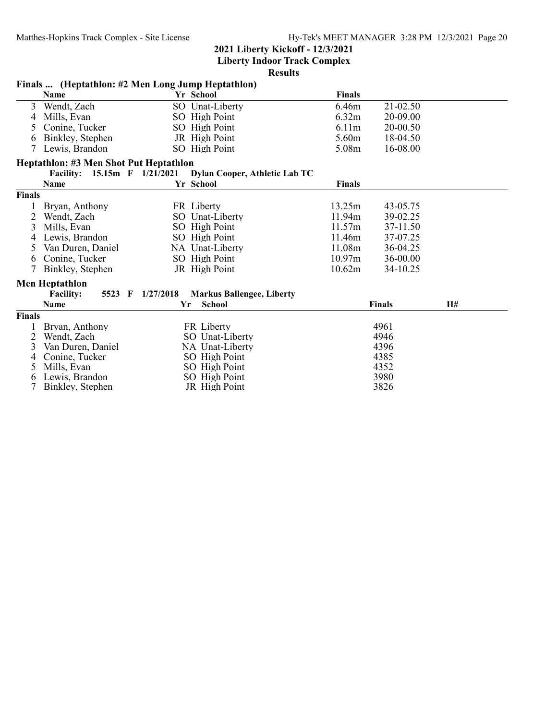**Liberty Indoor Track Complex**

|               | Finals  (Heptathlon: #2 Men Long Jump Heptathlon) |           |                                  |                   |               |    |  |  |  |
|---------------|---------------------------------------------------|-----------|----------------------------------|-------------------|---------------|----|--|--|--|
|               | Name                                              |           | Yr School                        | <b>Finals</b>     |               |    |  |  |  |
| 3             | Wendt, Zach                                       |           | SO Unat-Liberty                  | 6.46m             | 21-02.50      |    |  |  |  |
| 4             | Mills, Evan                                       |           | SO High Point                    | 6.32m             | 20-09.00      |    |  |  |  |
| 5.            | Conine, Tucker                                    |           | SO High Point                    | 6.11 <sub>m</sub> | 20-00.50      |    |  |  |  |
| 6             | Binkley, Stephen                                  |           | JR High Point                    | 5.60m             | 18-04.50      |    |  |  |  |
|               | Lewis, Brandon                                    |           | SO High Point                    | 5.08m             | 16-08.00      |    |  |  |  |
|               | Heptathlon: #3 Men Shot Put Heptathlon            |           |                                  |                   |               |    |  |  |  |
|               | Facility: 15.15m F 1/21/2021                      |           | Dylan Cooper, Athletic Lab TC    |                   |               |    |  |  |  |
|               | Name                                              |           | Yr School                        | <b>Finals</b>     |               |    |  |  |  |
| <b>Finals</b> |                                                   |           |                                  |                   |               |    |  |  |  |
|               | Bryan, Anthony                                    |           | FR Liberty                       | 13.25m            | 43-05.75      |    |  |  |  |
| 2             | Wendt, Zach                                       |           | SO Unat-Liberty                  | 11.94m            | 39-02.25      |    |  |  |  |
| 3             | Mills, Evan                                       |           | SO High Point                    | 11.57m            | 37-11.50      |    |  |  |  |
|               | Lewis, Brandon                                    |           | SO High Point                    | 11.46m            | 37-07.25      |    |  |  |  |
| 5.            | Van Duren, Daniel                                 |           | NA Unat-Liberty                  | 11.08m            | 36-04.25      |    |  |  |  |
| 6             | Conine, Tucker                                    |           | SO High Point                    | 10.97m            | 36-00.00      |    |  |  |  |
| 7             | Binkley, Stephen                                  |           | JR High Point                    | 10.62m            | 34-10.25      |    |  |  |  |
|               | <b>Men Heptathlon</b>                             |           |                                  |                   |               |    |  |  |  |
|               | <b>Facility:</b><br>5523 F                        | 1/27/2018 | <b>Markus Ballengee, Liberty</b> |                   |               |    |  |  |  |
|               | Name                                              | Yr        | <b>School</b>                    |                   | <b>Finals</b> | H# |  |  |  |
| Finals        |                                                   |           |                                  |                   |               |    |  |  |  |
|               | Bryan, Anthony                                    |           | FR Liberty                       |                   | 4961          |    |  |  |  |
| 2             | Wendt, Zach                                       |           | SO Unat-Liberty                  |                   | 4946          |    |  |  |  |
| 3             | Van Duren, Daniel                                 |           | NA Unat-Liberty                  |                   | 4396          |    |  |  |  |
|               | Conine, Tucker                                    |           | SO High Point                    |                   | 4385          |    |  |  |  |
| 5             | Mills, Evan                                       |           | SO High Point                    |                   | 4352          |    |  |  |  |
| 6             | Lewis, Brandon                                    |           | SO High Point                    |                   | 3980          |    |  |  |  |
|               | Binkley, Stephen                                  |           | JR High Point                    |                   | 3826          |    |  |  |  |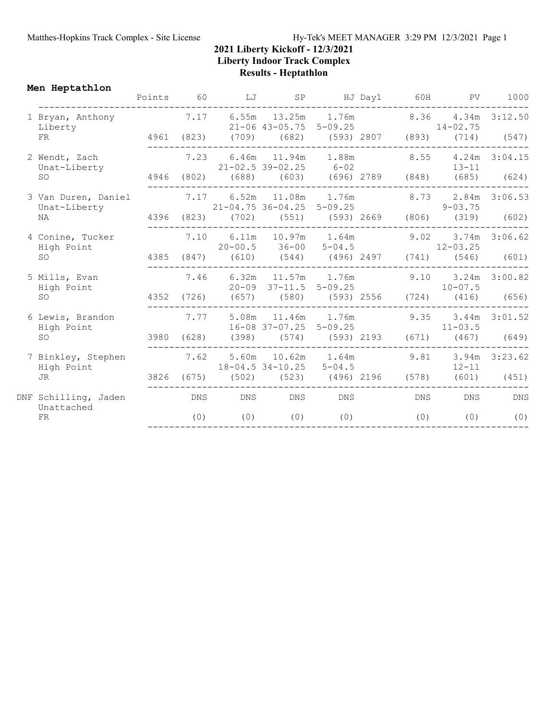**Men Heptathlon**

|                                     | Points | 60   | LJ      | SP                                                       |     | HJ Day1 60H | PV                                                                            | 1000          |
|-------------------------------------|--------|------|---------|----------------------------------------------------------|-----|-------------|-------------------------------------------------------------------------------|---------------|
| 1 Bryan, Anthony<br>Liberty         |        |      |         |                                                          |     |             | 7.17 6.55m 13.25m 1.76m 8.36 4.34m 3:12.50<br>21-06 43-05.75 5-09.25 14-02.75 |               |
| FR                                  |        |      |         |                                                          |     |             | 4961 (823) (709) (682) (593) 2807 (893) (714) (547)                           |               |
| 2 Wendt, Zach<br>Unat-Liberty       |        | 7.23 |         | $21 - 02.5$ 39-02.25 6-02                                |     |             | 6.46m 11.94m 1.88m 8.55 4.24m 3:04.15<br>$13-11$                              |               |
| <b>SO</b>                           |        |      |         |                                                          |     |             | 4946 (802) (688) (603) (696) 2789 (848) (685) (624)                           |               |
| 3 Van Duren, Daniel<br>Unat-Liberty |        |      |         | 7.17 6.52m 11.08m 1.76m<br>$21 - 04.75$ 36-04.25 5-09.25 |     |             | 8.73 2.84m 3:06.53<br>$9 - 03.75$                                             |               |
| NA                                  |        |      |         |                                                          |     |             | 4396 (823) (702) (551) (593) 2669 (806) (319) (602)                           |               |
| 4 Conine, Tucker<br>High Point      |        | 7.10 |         | $20-00.5$ $36-00$ $5-04.5$ $12-03.25$                    |     |             | 6.11m 10.97m 1.64m 9.02 3.74m 3:06.62                                         |               |
| <b>SO</b>                           |        |      |         |                                                          |     |             | 4385 (847) (610) (544) (496) 2497 (741) (546)                                 | (601)         |
| 5 Mills, Evan<br>High Point         |        | 7.46 |         | 20-09 37-11.5 5-09.25                                    |     |             | 6.32m 11.57m 1.76m 9.10 3.24m 3:00.82<br>$10 - 07.5$                          |               |
| <b>SO</b>                           |        |      |         |                                                          |     |             | 4352 (726) (657) (580) (593) 2556 (724) (416) (656)                           |               |
| 6 Lewis, Brandon<br>High Point      |        |      |         | 16-08 37-07.25 5-09.25                                   |     |             | 7.77 5.08m 11.46m 1.76m 9.35 3.44m 3:01.52<br>$11 - 03.5$                     |               |
| SO <sub>2</sub>                     |        |      |         |                                                          |     |             | 3980 (628) (398) (574) (593) 2193 (671) (467) (649)                           |               |
| 7 Binkley, Stephen<br>High Point    |        | 7.62 |         | 5.60m 10.62m 1.64m 9.81<br>$18 - 04.5$ 34-10.25 5-04.5   |     |             | $12 - 11$                                                                     | 3.94m 3:23.62 |
| JR.                                 |        |      |         |                                                          |     |             | 3826 (675) (502) (523) (496) 2196 (578) (601) (451)                           |               |
| DNF Schilling, Jaden<br>Unattached  |        |      | DNS DNS | DNS                                                      | DNS | DNS         | DNS                                                                           | DNS           |
| FR                                  |        | (0)  | (0)     | (0)                                                      | (0) | (0)         | (0)                                                                           | (0)           |
|                                     |        |      |         |                                                          |     |             |                                                                               |               |